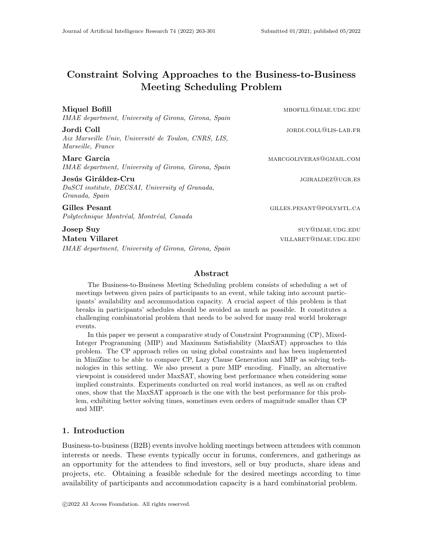# Constraint Solving Approaches to the Business-to-Business Meeting Scheduling Problem

Miquel Bofill mbories and the material material material materials and material material materials and material IMAE department, University of Girona, Girona, Spain Jordi Coll jordi.coll@lis-lab.fr Aix Marseille Univ, Université de Toulon, CNRS, LIS, Marseille, France Marc Garcia marchestras marcgoliveras@gmail.com IMAE department, University of Girona, Girona, Spain Jesús Giráldez-Cru jgiraldez ette megalam szerepel a szerepel varma varma varma varma varma varma varma varma v DaSCI institute, DECSAI, University of Granada, Granada, Spain Gilles Pesant Gilles.pesant Gilles.pesant Gilles.pesant Gilles.pesant Gilles.pesant Gilles.pesant Gilles.pesant Gilles.pesant Gilles.pesant Gilles.pesant Gilles.pesant Gilles.pesant Gilles.pesant Gilles.pesant Gilles.pesan Polytechnique Montréal, Montréal, Canada **Josep Suy** surger Suy surger Supplement and the surger surger surger surger surger surger surger surger surger Mateu Villaret villaret village village village village village village village village village village village v IMAE department, University of Girona, Girona, Spain

## Abstract

The Business-to-Business Meeting Scheduling problem consists of scheduling a set of meetings between given pairs of participants to an event, while taking into account participants' availability and accommodation capacity. A crucial aspect of this problem is that breaks in participants' schedules should be avoided as much as possible. It constitutes a challenging combinatorial problem that needs to be solved for many real world brokerage events.

In this paper we present a comparative study of Constraint Programming (CP), Mixed-Integer Programming (MIP) and Maximum Satisfiability (MaxSAT) approaches to this problem. The CP approach relies on using global constraints and has been implemented in MiniZinc to be able to compare CP, Lazy Clause Generation and MIP as solving technologies in this setting. We also present a pure MIP encoding. Finally, an alternative viewpoint is considered under MaxSAT, showing best performance when considering some implied constraints. Experiments conducted on real world instances, as well as on crafted ones, show that the MaxSAT approach is the one with the best performance for this problem, exhibiting better solving times, sometimes even orders of magnitude smaller than CP and MIP.

## 1. Introduction

Business-to-business (B2B) events involve holding meetings between attendees with common interests or needs. These events typically occur in forums, conferences, and gatherings as an opportunity for the attendees to find investors, sell or buy products, share ideas and projects, etc. Obtaining a feasible schedule for the desired meetings according to time availability of participants and accommodation capacity is a hard combinatorial problem.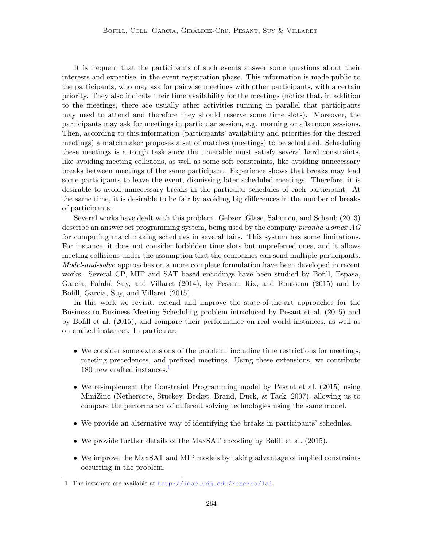It is frequent that the participants of such events answer some questions about their interests and expertise, in the event registration phase. This information is made public to the participants, who may ask for pairwise meetings with other participants, with a certain priority. They also indicate their time availability for the meetings (notice that, in addition to the meetings, there are usually other activities running in parallel that participants may need to attend and therefore they should reserve some time slots). Moreover, the participants may ask for meetings in particular session, e.g. morning or afternoon sessions. Then, according to this information (participants' availability and priorities for the desired meetings) a matchmaker proposes a set of matches (meetings) to be scheduled. Scheduling these meetings is a tough task since the timetable must satisfy several hard constraints, like avoiding meeting collisions, as well as some soft constraints, like avoiding unnecessary breaks between meetings of the same participant. Experience shows that breaks may lead some participants to leave the event, dismissing later scheduled meetings. Therefore, it is desirable to avoid unnecessary breaks in the particular schedules of each participant. At the same time, it is desirable to be fair by avoiding big differences in the number of breaks of participants.

Several works have dealt with this problem. Gebser, Glase, Sabuncu, and Schaub (2013) describe an answer set programming system, being used by the company *piranha womex AG* for computing matchmaking schedules in several fairs. This system has some limitations. For instance, it does not consider forbidden time slots but unpreferred ones, and it allows meeting collisions under the assumption that the companies can send multiple participants. Model-and-solve approaches on a more complete formulation have been developed in recent works. Several CP, MIP and SAT based encodings have been studied by Bofill, Espasa, Garcia, Palahí, Suy, and Villaret (2014), by Pesant, Rix, and Rousseau (2015) and by Bofill, Garcia, Suy, and Villaret (2015).

In this work we revisit, extend and improve the state-of-the-art approaches for the Business-to-Business Meeting Scheduling problem introduced by Pesant et al. (2015) and by Bofill et al. (2015), and compare their performance on real world instances, as well as on crafted instances. In particular:

- We consider some extensions of the problem: including time restrictions for meetings, meeting precedences, and prefixed meetings. Using these extensions, we contribute [1](#page-1-0)80 new crafted instances.<sup>1</sup>
- We re-implement the Constraint Programming model by Pesant et al. (2015) using MiniZinc (Nethercote, Stuckey, Becket, Brand, Duck, & Tack, 2007), allowing us to compare the performance of different solving technologies using the same model.
- We provide an alternative way of identifying the breaks in participants' schedules.
- We provide further details of the MaxSAT encoding by Bofill et al. (2015).
- We improve the MaxSAT and MIP models by taking advantage of implied constraints occurring in the problem.

<span id="page-1-0"></span><sup>1.</sup> The instances are available at <http://imae.udg.edu/recerca/lai>.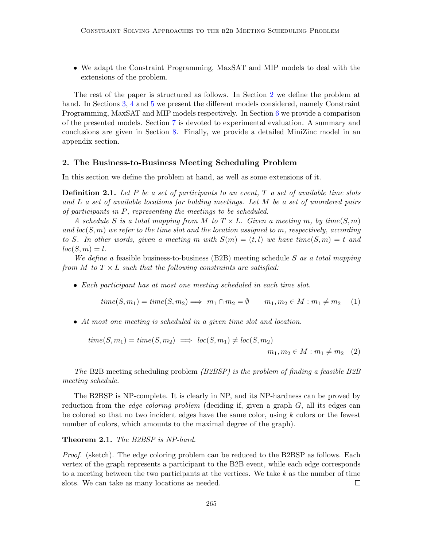• We adapt the Constraint Programming, MaxSAT and MIP models to deal with the extensions of the problem.

The rest of the paper is structured as follows. In Section [2](#page-2-0) we define the problem at hand. In Sections [3,](#page-5-0) [4](#page-9-0) and [5](#page-14-0) we present the different models considered, namely Constraint Programming, MaxSAT and MIP models respectively. In Section [6](#page-17-0) we provide a comparison of the presented models. Section [7](#page-17-1) is devoted to experimental evaluation. A summary and conclusions are given in Section [8.](#page-26-0) Finally, we provide a detailed MiniZinc model in an appendix section.

## <span id="page-2-0"></span>2. The Business-to-Business Meeting Scheduling Problem

In this section we define the problem at hand, as well as some extensions of it.

**Definition 2.1.** Let P be a set of participants to an event,  $T$  a set of available time slots and L a set of available locations for holding meetings. Let M be a set of unordered pairs of participants in P, representing the meetings to be scheduled.

A schedule S is a total mapping from M to  $T \times L$ . Given a meeting m, by time(S, m) and  $loc(S, m)$  we refer to the time slot and the location assigned to m, respectively, according to S. In other words, given a meeting m with  $S(m) = (t, l)$  we have time $(S, m) = t$  and  $loc(S, m) = l.$ 

We define a feasible business-to-business  $(B2B)$  meeting schedule S as a total mapping from M to  $T \times L$  such that the following constraints are satisfied:

• Each participant has at most one meeting scheduled in each time slot.

$$
time(S, m_1) = time(S, m_2) \Longrightarrow m_1 \cap m_2 = \emptyset \qquad m_1, m_2 \in M : m_1 \neq m_2 \quad (1)
$$

• At most one meeting is scheduled in a given time slot and location.

$$
time(S, m_1) = time(S, m_2) \implies loc(S, m_1) \neq loc(S, m_2)
$$
  

$$
m_1, m_2 \in M : m_1 \neq m_2 \quad (2)
$$

The B2B meeting scheduling problem (B2BSP) is the problem of finding a feasible B2B meeting schedule.

The B2BSP is NP-complete. It is clearly in NP, and its NP-hardness can be proved by reduction from the *edge coloring problem* (deciding if, given a graph  $G$ , all its edges can be colored so that no two incident edges have the same color, using  $k$  colors or the fewest number of colors, which amounts to the maximal degree of the graph).

Theorem 2.1. The B2BSP is NP-hard.

Proof. (sketch). The edge coloring problem can be reduced to the B2BSP as follows. Each vertex of the graph represents a participant to the B2B event, while each edge corresponds to a meeting between the two participants at the vertices. We take  $k$  as the number of time slots. We can take as many locations as needed.  $\Box$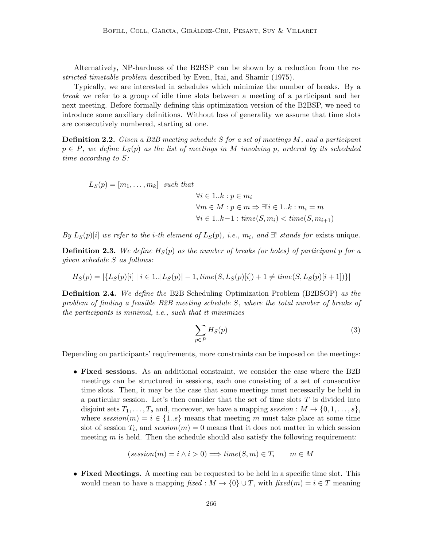Alternatively, NP-hardness of the B2BSP can be shown by a reduction from the restricted timetable problem described by Even, Itai, and Shamir (1975).

Typically, we are interested in schedules which minimize the number of breaks. By a break we refer to a group of idle time slots between a meeting of a participant and her next meeting. Before formally defining this optimization version of the B2BSP, we need to introduce some auxiliary definitions. Without loss of generality we assume that time slots are consecutively numbered, starting at one.

**Definition 2.2.** Given a B2B meeting schedule S for a set of meetings M, and a participant  $p \in P$ , we define  $L_S(p)$  as the list of meetings in M involving p, ordered by its scheduled time according to S:

$$
L_S(p) = [m_1, \dots, m_k] \text{ such that}
$$
  
\n
$$
\forall i \in 1..k : p \in m_i
$$
  
\n
$$
\forall m \in M : p \in m \Rightarrow \exists! i \in 1..k : m_i = m
$$
  
\n
$$
\forall i \in 1..k-1 : \text{time}(S, m_i) < \text{time}(S, m_{i+1})
$$

By  $L_S(p)[i]$  we refer to the *i*-th element of  $L_S(p)$ , *i.e.*,  $m_i$ , and  $\exists !$  stands for exists unique.

**Definition 2.3.** We define  $H_S(p)$  as the number of breaks (or holes) of participant p for a given schedule S as follows:

$$
H_S(p) = |\{L_S(p)[i] \mid i \in 1..|L_S(p)| - 1, \text{time}(S, L_S(p)[i]) + 1 \neq \text{time}(S, L_S(p)[i + 1])\}|
$$

Definition 2.4. We define the B2B Scheduling Optimization Problem (B2BSOP) as the problem of finding a feasible B2B meeting schedule S, where the total number of breaks of the participants is minimal, i.e., such that it minimizes

$$
\sum_{p \in P} H_S(p) \tag{3}
$$

Depending on participants' requirements, more constraints can be imposed on the meetings:

• Fixed sessions. As an additional constraint, we consider the case where the B2B meetings can be structured in sessions, each one consisting of a set of consecutive time slots. Then, it may be the case that some meetings must necessarily be held in a particular session. Let's then consider that the set of time slots  $T$  is divided into disjoint sets  $T_1, \ldots, T_s$  and, moreover, we have a mapping session :  $M \to \{0, 1, \ldots, s\}$ , where  $session(m) = i \in \{1..s\}$  means that meeting m must take place at some time slot of session  $T_i$ , and  $session(m) = 0$  means that it does not matter in which session meeting  $m$  is held. Then the schedule should also satisfy the following requirement:

$$
(session(m) = i \land i > 0) \Longrightarrow time(S, m) \in T_i \qquad m \in M
$$

• Fixed Meetings. A meeting can be requested to be held in a specific time slot. This would mean to have a mapping fixed :  $M \to \{0\} \cup T$ , with fixed $(m) = i \in T$  meaning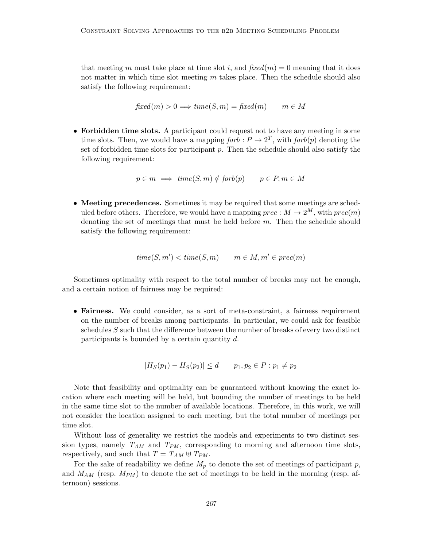that meeting m must take place at time slot i, and  $fixed(m) = 0$  meaning that it does not matter in which time slot meeting  $m$  takes place. Then the schedule should also satisfy the following requirement:

$$
fixed(m) > 0 \Longrightarrow time(S, m) = fixed(m) \qquad m \in M
$$

• Forbidden time slots. A participant could request not to have any meeting in some time slots. Then, we would have a mapping  $forb: P \to 2^T$ , with  $forb(p)$  denoting the set of forbidden time slots for participant  $p$ . Then the schedule should also satisfy the following requirement:

$$
p \in m \implies \text{time}(S, m) \notin \text{forb}(p) \qquad p \in P, m \in M
$$

• Meeting precedences. Sometimes it may be required that some meetings are scheduled before others. Therefore, we would have a mapping  $prec: M \to 2^M$ , with  $prec(m)$ denoting the set of meetings that must be held before m. Then the schedule should satisfy the following requirement:

$$
time(S, m') < time(S, m) \qquad m \in M, m' \in prec(m)
$$

Sometimes optimality with respect to the total number of breaks may not be enough, and a certain notion of fairness may be required:

• Fairness. We could consider, as a sort of meta-constraint, a fairness requirement on the number of breaks among participants. In particular, we could ask for feasible schedules S such that the difference between the number of breaks of every two distinct participants is bounded by a certain quantity  $d$ .

$$
|H_S(p_1) - H_S(p_2)| \le d \qquad p_1, p_2 \in P : p_1 \ne p_2
$$

Note that feasibility and optimality can be guaranteed without knowing the exact location where each meeting will be held, but bounding the number of meetings to be held in the same time slot to the number of available locations. Therefore, in this work, we will not consider the location assigned to each meeting, but the total number of meetings per time slot.

Without loss of generality we restrict the models and experiments to two distinct session types, namely  $T_{AM}$  and  $T_{PM}$ , corresponding to morning and afternoon time slots, respectively, and such that  $T = T_{AM} \oplus T_{PM}$ .

For the sake of readability we define  $M_p$  to denote the set of meetings of participant p, and  $M_{AM}$  (resp.  $M_{PM}$ ) to denote the set of meetings to be held in the morning (resp. afternoon) sessions.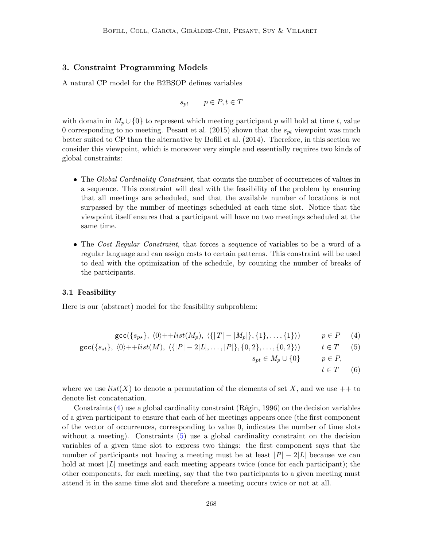## <span id="page-5-0"></span>3. Constraint Programming Models

A natural CP model for the B2BSOP defines variables

$$
s_{pt} \qquad p \in P, t \in T
$$

with domain in  $M_p \cup \{0\}$  to represent which meeting participant p will hold at time t, value 0 corresponding to no meeting. Pesant et al. (2015) shown that the  $s_{pt}$  viewpoint was much better suited to CP than the alternative by Bofill et al. (2014). Therefore, in this section we consider this viewpoint, which is moreover very simple and essentially requires two kinds of global constraints:

- The Global Cardinality Constraint, that counts the number of occurrences of values in a sequence. This constraint will deal with the feasibility of the problem by ensuring that all meetings are scheduled, and that the available number of locations is not surpassed by the number of meetings scheduled at each time slot. Notice that the viewpoint itself ensures that a participant will have no two meetings scheduled at the same time.
- The Cost Regular Constraint, that forces a sequence of variables to be a word of a regular language and can assign costs to certain patterns. This constraint will be used to deal with the optimization of the schedule, by counting the number of breaks of the participants.

## 3.1 Feasibility

Here is our (abstract) model for the feasibility subproblem:

<span id="page-5-1"></span>
$$
\text{gcc}(\{s_{p\star}\},\ \langle 0 \rangle + \text{dist}(M_p), \ \langle \{|T| - |M_p|\}, \{1\}, \dots, \{1\} \rangle) \qquad p \in P \tag{4}
$$

$$
\gcd(\{s_{\star t}\}, \langle 0 \rangle + \text{dist}(M), \langle \{|P| - 2|L|, \dots, |P|\}, \{0, 2\}, \dots, \{0, 2\}\rangle) \qquad t \in T \qquad (5)
$$

 $s_{pt} \in M_p \cup \{0\}$   $p \in P$ ,

 $t \in T$  (6)

where we use  $list(X)$  to denote a permutation of the elements of set X, and we use  $++$  to denote list concatenation.

Constraints  $(4)$  use a global cardinality constraint  $(Régin, 1996)$  on the decision variables of a given participant to ensure that each of her meetings appears once (the first component of the vector of occurrences, corresponding to value 0, indicates the number of time slots without a meeting). Constraints [\(5\)](#page-5-1) use a global cardinality constraint on the decision variables of a given time slot to express two things: the first component says that the number of participants not having a meeting must be at least  $|P| - 2|L|$  because we can hold at most  $|L|$  meetings and each meeting appears twice (once for each participant); the other components, for each meeting, say that the two participants to a given meeting must attend it in the same time slot and therefore a meeting occurs twice or not at all.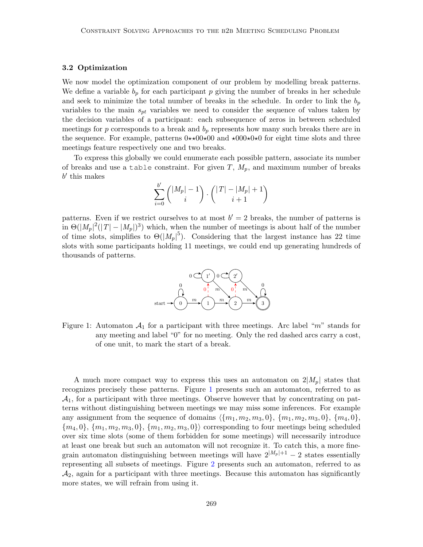#### <span id="page-6-1"></span>3.2 Optimization

We now model the optimization component of our problem by modelling break patterns. We define a variable  $b_p$  for each participant p giving the number of breaks in her schedule and seek to minimize the total number of breaks in the schedule. In order to link the  $b_p$ variables to the main  $s_{pt}$  variables we need to consider the sequence of values taken by the decision variables of a participant: each subsequence of zeros in between scheduled meetings for p corresponds to a break and  $b_p$  represents how many such breaks there are in the sequence. For example, patterns  $0 \star \star 00 \star 00$  and  $\star 000 \star 0 \star 0$  for eight time slots and three meetings feature respectively one and two breaks.

To express this globally we could enumerate each possible pattern, associate its number of breaks and use a table constraint. For given  $T$ ,  $M_p$ , and maximum number of breaks  $b'$  this makes

$$
\sum_{i=0}^{b'}\binom{|M_p|-1}{i}\cdot\binom{|T|-|M_p|+1}{i+1}
$$

patterns. Even if we restrict ourselves to at most  $b' = 2$  breaks, the number of patterns is in  $\Theta(|M_p|^2(|T|-|M_p|)^3)$  which, when the number of meetings is about half of the number of time slots, simplifies to  $\Theta(|M_p|^5)$ . Considering that the largest instance has 22 time slots with some participants holding 11 meetings, we could end up generating hundreds of thousands of patterns.



<span id="page-6-0"></span>Figure 1: Automaton  $\mathcal{A}_1$  for a participant with three meetings. Arc label "m" stands for any meeting and label "0" for no meeting. Only the red dashed arcs carry a cost, of one unit, to mark the start of a break.

A much more compact way to express this uses an automaton on  $2|M_p|$  states that recognizes precisely these patterns. Figure [1](#page-6-0) presents such an automaton, referred to as  $A_1$ , for a participant with three meetings. Observe however that by concentrating on patterns without distinguishing between meetings we may miss some inferences. For example any assignment from the sequence of domains  $\langle \{m_1, m_2, m_3, 0\}, \{m_1, m_2, m_3, 0\}, \{m_4, 0\},\$  ${m_4, 0}$ ,  ${m_1, m_2, m_3, 0}$ ,  ${m_1, m_2, m_3, 0}$  corresponding to four meetings being scheduled over six time slots (some of them forbidden for some meetings) will necessarily introduce at least one break but such an automaton will not recognize it. To catch this, a more finegrain automaton distinguishing between meetings will have  $2^{|M_p|+1} - 2$  states essentially representing all subsets of meetings. Figure [2](#page-7-0) presents such an automaton, referred to as  $A_2$ , again for a participant with three meetings. Because this automaton has significantly more states, we will refrain from using it.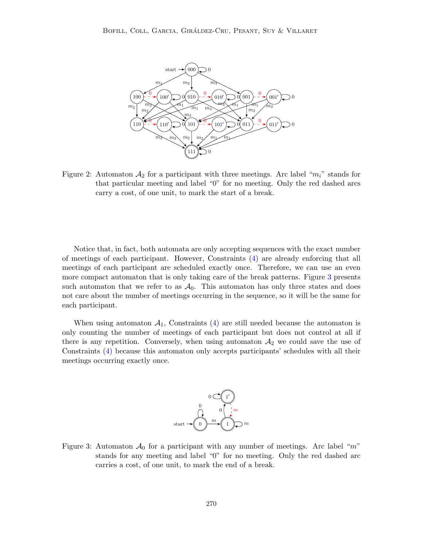

<span id="page-7-0"></span>Figure 2: Automaton  $A_2$  for a participant with three meetings. Arc label " $m_i$ " stands for that particular meeting and label "0" for no meeting. Only the red dashed arcs carry a cost, of one unit, to mark the start of a break.

Notice that, in fact, both automata are only accepting sequences with the exact number of meetings of each participant. However, Constraints [\(4\)](#page-5-1) are already enforcing that all meetings of each participant are scheduled exactly once. Therefore, we can use an even more compact automaton that is only taking care of the break patterns. Figure [3](#page-7-1) presents such automaton that we refer to as  $\mathcal{A}_0$ . This automaton has only three states and does not care about the number of meetings occurring in the sequence, so it will be the same for each participant.

When using automaton  $A_1$ , Constraints [\(4\)](#page-5-1) are still needed because the automaton is only counting the number of meetings of each participant but does not control at all if there is any repetition. Conversely, when using automaton  $A_2$  we could save the use of Constraints [\(4\)](#page-5-1) because this automaton only accepts participants' schedules with all their meetings occurring exactly once.



<span id="page-7-1"></span>Figure 3: Automaton  $\mathcal{A}_0$  for a participant with any number of meetings. Arc label "m" stands for any meeting and label "0" for no meeting. Only the red dashed arc carries a cost, of one unit, to mark the end of a break.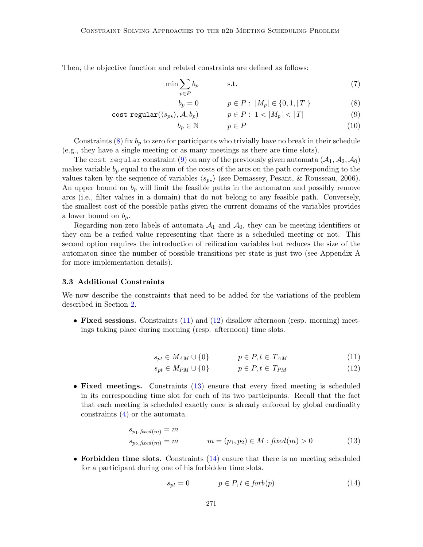Then, the objective function and related constraints are defined as follows:

<span id="page-8-0"></span>
$$
\min \sum_{p \in P} b_p \qquad \text{s.t.} \tag{7}
$$
\n
$$
b_p = 0 \qquad \qquad p \in P: \ |M_p| \in \{0, 1, |T|\} \tag{8}
$$

$$
b_p = 0 \qquad p \in P: |M_p| \in \{0, 1, |T|\} \tag{8}
$$

$$
\mathtt{cost\_regular}(\langle s_{p\star} \rangle, \mathcal{A}, b_p) \qquad \qquad p \in P: 1 < |M_p| < |T| \tag{9}
$$

$$
b_p \in \mathbb{N} \qquad p \in P \tag{10}
$$

Constraints  $(8)$  fix  $b<sub>p</sub>$  to zero for participants who trivially have no break in their schedule (e.g., they have a single meeting or as many meetings as there are time slots).

The cost regular constraint [\(9\)](#page-8-0) on any of the previously given automata  $(A_1, A_2, A_0)$ makes variable  $b_p$  equal to the sum of the costs of the arcs on the path corresponding to the values taken by the sequence of variables  $\langle s_{p\star} \rangle$  (see Demassey, Pesant, & Rousseau, 2006). An upper bound on  $b_p$  will limit the feasible paths in the automaton and possibly remove arcs (i.e., filter values in a domain) that do not belong to any feasible path. Conversely, the smallest cost of the possible paths given the current domains of the variables provides a lower bound on  $b_p$ .

Regarding non-zero labels of automata  $A_1$  and  $A_0$ , they can be meeting identifiers or they can be a reified value representing that there is a scheduled meeting or not. This second option requires the introduction of reification variables but reduces the size of the automaton since the number of possible transitions per state is just two (see Appendix A for more implementation details).

## 3.3 Additional Constraints

We now describe the constraints that need to be added for the variations of the problem described in Section [2.](#page-2-0)

• Fixed sessions. Constraints [\(11\)](#page-8-1) and [\(12\)](#page-8-1) disallow afternoon (resp. morning) meetings taking place during morning (resp. afternoon) time slots.

<span id="page-8-1"></span>
$$
s_{pt} \in M_{AM} \cup \{0\} \qquad p \in P, t \in T_{AM} \tag{11}
$$

$$
s_{pt} \in M_{PM} \cup \{0\} \qquad p \in P, t \in T_{PM} \tag{12}
$$

• Fixed meetings. Constraints [\(13\)](#page-8-2) ensure that every fixed meeting is scheduled in its corresponding time slot for each of its two participants. Recall that the fact that each meeting is scheduled exactly once is already enforced by global cardinality constraints [\(4\)](#page-5-1) or the automata.

<span id="page-8-2"></span>
$$
s_{p_1, fixed(m)} = m
$$
  
\n
$$
s_{p_2, fixed(m)} = m
$$
  
\n
$$
m = (p_1, p_2) \in M : fixed(m) > 0
$$
\n(13)

• Forbidden time slots. Constraints  $(14)$  ensure that there is no meeting scheduled for a participant during one of his forbidden time slots.

<span id="page-8-3"></span>
$$
s_{pt} = 0 \qquad \qquad p \in P, t \in forb(p) \tag{14}
$$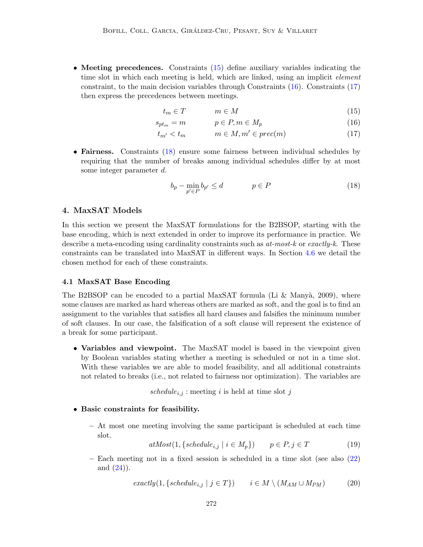• Meeting precedences. Constraints [\(15\)](#page-9-1) define auxiliary variables indicating the time slot in which each meeting is held, which are linked, using an implicit *element* constraint, to the main decision variables through Constraints [\(16\)](#page-9-1). Constraints [\(17\)](#page-9-1) then express the precedences between meetings.

<span id="page-9-1"></span>
$$
t_m \in T \qquad m \in M \tag{15}
$$

$$
s_{pt_m} = m \qquad \qquad p \in P, m \in M_p \tag{16}
$$

$$
t_{m'} < t_m \qquad m \in M, m' \in prec(m) \tag{17}
$$

• Fairness. Constraints [\(18\)](#page-9-2) ensure some fairness between individual schedules by requiring that the number of breaks among individual schedules differ by at most some integer parameter d.

<span id="page-9-2"></span>
$$
b_p - \min_{p' \in P} b_{p'} \le d \qquad \qquad p \in P \tag{18}
$$

## <span id="page-9-0"></span>4. MaxSAT Models

In this section we present the MaxSAT formulations for the B2BSOP, starting with the base encoding, which is next extended in order to improve its performance in practice. We describe a meta-encoding using cardinality constraints such as  $at-most-k$  or  $exactly-k$ . These constraints can be translated into MaxSAT in different ways. In Section [4.6](#page-14-1) we detail the chosen method for each of these constraints.

#### 4.1 MaxSAT Base Encoding

The B2BSOP can be encoded to a partial MaxSAT formula (Li & Manyà, 2009), where some clauses are marked as hard whereas others are marked as soft, and the goal is to find an assignment to the variables that satisfies all hard clauses and falsifies the minimum number of soft clauses. In our case, the falsification of a soft clause will represent the existence of a break for some participant.

• Variables and viewpoint. The MaxSAT model is based in the viewpoint given by Boolean variables stating whether a meeting is scheduled or not in a time slot. With these variables we are able to model feasibility, and all additional constraints not related to breaks (i.e., not related to fairness nor optimization). The variables are

schedule<sub>i,j</sub>: meeting i is held at time slot j

- Basic constraints for feasibility.
	- At most one meeting involving the same participant is scheduled at each time slot.

 $atMost(1, \{ schedule_{i,j} \mid i \in M_p \})$   $p \in P, j \in T$  (19)

– Each meeting not in a fixed session is scheduled in a time slot (see also [\(22\)](#page-10-0) and  $(24)$ ).

$$
exactly(1,\{ schedule_{i,j} \mid j \in T\}) \qquad i \in M \setminus (M_{AM} \cup M_{PM}) \tag{20}
$$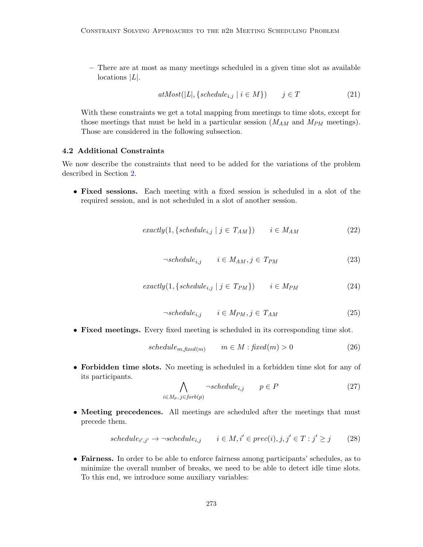– There are at most as many meetings scheduled in a given time slot as available  $locations$   $|L|$ .

<span id="page-10-3"></span>
$$
atMost(|L|, \{schedule_{i,j} \mid i \in M\}) \qquad j \in T \tag{21}
$$

With these constraints we get a total mapping from meetings to time slots, except for those meetings that must be held in a particular session  $(M_{AM}$  and  $M_{PM}$  meetings). Those are considered in the following subsection.

## <span id="page-10-2"></span>4.2 Additional Constraints

We now describe the constraints that need to be added for the variations of the problem described in Section [2.](#page-2-0)

• Fixed sessions. Each meeting with a fixed session is scheduled in a slot of the required session, and is not scheduled in a slot of another session.

$$
exactly(1,\{ schedule_{i,j} \mid j \in T_{AM}\}) \qquad i \in M_{AM} \tag{22}
$$

<span id="page-10-0"></span>
$$
\neg schedule_{i,j} \qquad i \in M_{AM}, j \in T_{PM} \tag{23}
$$

$$
exactly(1,\{ schedule_{i,j} \mid j \in T_{PM}\}) \qquad i \in M_{PM} \tag{24}
$$

$$
\neg schedule_{i,j} \qquad i \in M_{PM}, j \in T_{AM} \tag{25}
$$

<span id="page-10-1"></span>• Fixed meetings. Every fixed meeting is scheduled in its corresponding time slot.

$$
schedule_{m, fixed(m)} \qquad m \in M : fixed(m) > 0 \tag{26}
$$

• Forbidden time slots. No meeting is scheduled in a forbidden time slot for any of its participants.

$$
\bigwedge_{i \in M_p, j \in forb(p)} \neg schedule_{i,j} \qquad p \in P \tag{27}
$$

• Meeting precedences. All meetings are scheduled after the meetings that must precede them.

$$
schedule_{i',j'} \to \neg schedule_{i,j} \qquad i \in M, i' \in prec(i), j, j' \in T : j' \geq j \tag{28}
$$

• Fairness. In order to be able to enforce fairness among participants' schedules, as to minimize the overall number of breaks, we need to be able to detect idle time slots. To this end, we introduce some auxiliary variables: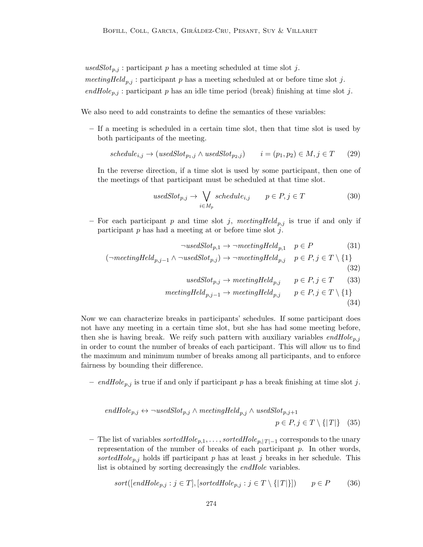usedSlot<sub>p,j</sub>: participant p has a meeting scheduled at time slot j.

meetingHeld<sub>p,j</sub>: participant p has a meeting scheduled at or before time slot j.

endHole<sub>p,j</sub>: participant p has an idle time period (break) finishing at time slot j.

We also need to add constraints to define the semantics of these variables:

– If a meeting is scheduled in a certain time slot, then that time slot is used by both participants of the meeting.

$$
schedule_{i,j} \rightarrow (usedSlot_{p_1,j} \land usedSlot_{p_2,j}) \qquad i = (p_1, p_2) \in M, j \in T \qquad (29)
$$

In the reverse direction, if a time slot is used by some participant, then one of the meetings of that participant must be scheduled at that time slot.

$$
usedSlot_{p,j} \to \bigvee_{i \in M_p} schedule_{i,j} \qquad p \in P, j \in T
$$
\n(30)

– For each participant p and time slot j, meeting Held<sub>n,j</sub> is true if and only if participant  $p$  has had a meeting at or before time slot  $j$ .

$$
\neg \text{usedSlot}_{p,1} \to \neg \text{ meetingHeld}_{p,1} \quad p \in P \tag{31}
$$
  

$$
(\neg \text{ meetingHeld}_{p,j-1} \land \neg \text{usedSlot}_{p,j}) \to \neg \text{ meetingHeld}_{p,j} \quad p \in P, j \in T \setminus \{1\}
$$
  

$$
(32)
$$

<span id="page-11-2"></span><span id="page-11-1"></span><span id="page-11-0"></span>
$$
usedSlot_{p,j} \to meetingHeld_{p,j} \qquad p \in P, j \in T \qquad (33)
$$

$$
meetingHeld_{p,j-1} \to meetingHeld_{p,j} \qquad p \in P, j \in T \setminus \{1\}
$$
\n(34)

Now we can characterize breaks in participants' schedules. If some participant does not have any meeting in a certain time slot, but she has had some meeting before, then she is having break. We reify such pattern with auxiliary variables  $endHole_{p,j}$ in order to count the number of breaks of each participant. This will allow us to find the maximum and minimum number of breaks among all participants, and to enforce fairness by bounding their difference.

– endHole<sub>p,j</sub> is true if and only if participant p has a break finishing at time slot j.

$$
endHole_{p,j} \leftrightarrow \neg usedSlot_{p,j} \land meetingHeld_{p,j} \land usedSlot_{p,j+1}
$$

$$
p \in P, j \in T \setminus \{|T|\} \quad (35)
$$

– The list of variables sortedHole<sub>p,1</sub>, ..., sortedHole<sub>p, $|T|=1$ </sub> corresponds to the unary representation of the number of breaks of each participant  $p$ . In other words, sortedHole<sub>p,j</sub> holds iff participant p has at least j breaks in her schedule. This list is obtained by sorting decreasingly the *endHole* variables.

<span id="page-11-3"></span>
$$
sort([endHole_{p,j} : j \in T], [sortedHole_{p,j} : j \in T \setminus \{|T|\}]) \qquad p \in P \tag{36}
$$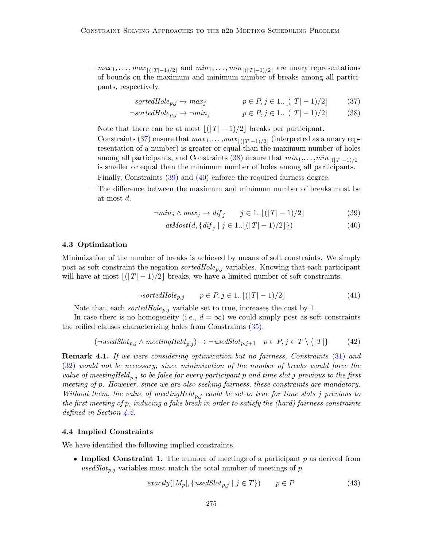$-max_1, \ldots, max_{|(T|-1)/2|}$  and  $min_1, \ldots, min_{|(T|-1)/2|}$  are unary representations of bounds on the maximum and minimum number of breaks among all participants, respectively.

<span id="page-12-1"></span><span id="page-12-0"></span>
$$
sortedHole_{p,j} \to max_j \qquad p \in P, j \in 1.. \lfloor (|T| - 1)/2 \rfloor \qquad (37)
$$

$$
\neg sorted Hole_{p,j} \to \neg min_j \qquad p \in P, j \in 1.. \lfloor (|T| - 1)/2 \rfloor \qquad (38)
$$

Note that there can be at most  $|(T - 1)/2|$  breaks per participant.

Constraints [\(37\)](#page-12-0) ensure that  $max_1, \ldots, max_{|(T|-1)/2|}$  (interpreted as a unary representation of a number) is greater or equal than the maximum number of holes among all participants, and Constraints [\(38\)](#page-12-1) ensure that  $min_1, \ldots, min_{|(T|-1)/2|}$ is smaller or equal than the minimum number of holes among all participants. Finally, Constraints [\(39\)](#page-12-2) and [\(40\)](#page-12-3) enforce the required fairness degree.

– The difference between the maximum and minimum number of breaks must be at most d.

$$
\neg \min_j \wedge \max_j \to \text{dif}_j \qquad j \in 1. \lfloor (|T| - 1)/2 \rfloor \tag{39}
$$

<span id="page-12-3"></span><span id="page-12-2"></span>
$$
atMost(d, \{ dif_j \mid j \in 1.. \lfloor (|T| - 1)/2 \rfloor \})
$$
\n(40)

### 4.3 Optimization

Minimization of the number of breaks is achieved by means of soft constraints. We simply post as soft constraint the negation sorted  $Hole_{p,j}$  variables. Knowing that each participant will have at most  $|(T - 1)/2|$  breaks, we have a limited number of soft constraints.

$$
\neg sortedHole_{p,j} \qquad p \in P, j \in 1.. \lfloor (|T| - 1)/2 \rfloor \tag{41}
$$

Note that, each *sortedHole*<sub>p,j</sub> variable set to true, increases the cost by 1.

In case there is no homogeneity (i.e.,  $d = \infty$ ) we could simply post as soft constraints the reified clauses characterizing holes from Constraints [\(35\)](#page-11-0).

$$
(\neg usedSlot_{p,j} \land meetingHeld_{p,j}) \rightarrow \neg usedSlot_{p,j+1} \quad p \in P, j \in T \setminus \{|T|\} \tag{42}
$$

**Remark 4.1.** If we were considering optimization but no fairness, Constraints [\(31\)](#page-11-1) and [\(32\)](#page-11-2) would not be necessary, since minimization of the number of breaks would force the value of meetingHeld<sub>p,j</sub> to be false for every participant p and time slot j previous to the first meeting of p. However, since we are also seeking fairness, these constraints are mandatory. Without them, the value of meetingHeld<sub>p,j</sub> could be set to true for time slots j previous to the first meeting of p, inducing a fake break in order to satisfy the (hard) fairness constraints defined in Section [4.2.](#page-10-2)

## <span id="page-12-5"></span>4.4 Implied Constraints

We have identified the following implied constraints.

• Implied Constraint 1. The number of meetings of a participant  $p$  as derived from usedSlot<sub>p,j</sub> variables must match the total number of meetings of p.

<span id="page-12-4"></span>
$$
exactly(|M_p|, \{usedSlot_{p,j} \mid j \in T\}) \qquad p \in P \tag{43}
$$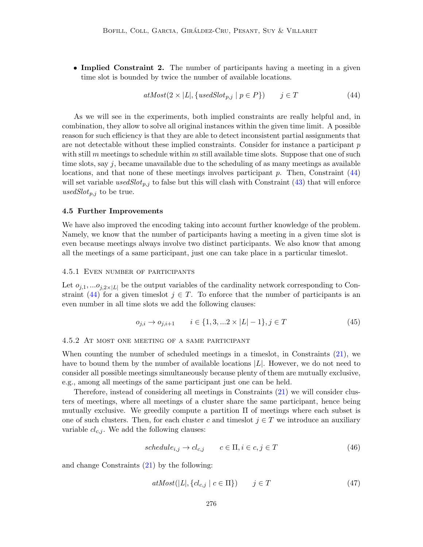• Implied Constraint 2. The number of participants having a meeting in a given time slot is bounded by twice the number of available locations.

<span id="page-13-0"></span>
$$
atMost(2 \times |L|, \{usedSlot_{p,j} \mid p \in P\}) \qquad j \in T \tag{44}
$$

As we will see in the experiments, both implied constraints are really helpful and, in combination, they allow to solve all original instances within the given time limit. A possible reason for such efficiency is that they are able to detect inconsistent partial assignments that are not detectable without these implied constraints. Consider for instance a participant  $p$ with still m meetings to schedule within m still available time slots. Suppose that one of such time slots, say  $j$ , became unavailable due to the scheduling of as many meetings as available locations, and that none of these meetings involves participant  $p$ . Then, Constraint  $(44)$ will set variable used $Slot_{p,j}$  to false but this will clash with Constraint [\(43\)](#page-12-4) that will enforce used $Slot_{p,j}$  to be true.

#### 4.5 Further Improvements

We have also improved the encoding taking into account further knowledge of the problem. Namely, we know that the number of participants having a meeting in a given time slot is even because meetings always involve two distinct participants. We also know that among all the meetings of a same participant, just one can take place in a particular timeslot.

#### 4.5.1 Even number of participants

Let  $o_{i,1}, \ldots o_{i,2\times |L|}$  be the output variables of the cardinality network corresponding to Con-straint [\(44\)](#page-13-0) for a given timeslot  $j \in T$ . To enforce that the number of participants is an even number in all time slots we add the following clauses:

$$
o_{j,i} \to o_{j,i+1} \qquad i \in \{1, 3, \dots 2 \times |L|-1\}, j \in T \tag{45}
$$

#### 4.5.2 At most one meeting of a same participant

When counting the number of scheduled meetings in a timeslot, in Constraints [\(21\)](#page-10-3), we have to bound them by the number of available locations  $|L|$ . However, we do not need to consider all possible meetings simultaneously because plenty of them are mutually exclusive, e.g., among all meetings of the same participant just one can be held.

Therefore, instead of considering all meetings in Constraints [\(21\)](#page-10-3) we will consider clusters of meetings, where all meetings of a cluster share the same participant, hence being mutually exclusive. We greedily compute a partition  $\Pi$  of meetings where each subset is one of such clusters. Then, for each cluster c and timeslot  $j \in T$  we introduce an auxiliary variable  $cl_{c,j}$ . We add the following clauses:

$$
schedule_{i,j} \to cl_{c,j} \qquad c \in \Pi, i \in c, j \in T \tag{46}
$$

and change Constraints [\(21\)](#page-10-3) by the following:

<span id="page-13-1"></span>
$$
atMost(|L|, \{cl_{c,j} \mid c \in \Pi\}) \qquad j \in T \tag{47}
$$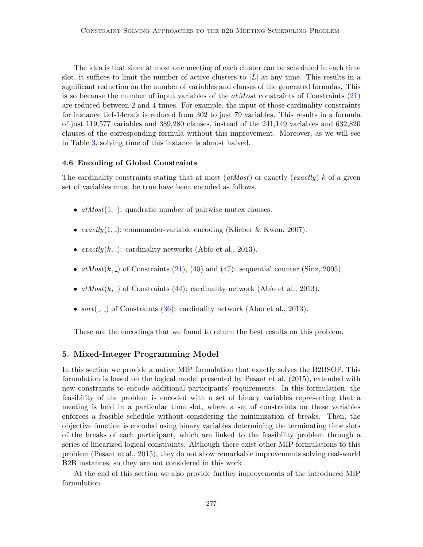The idea is that since at most one meeting of each cluster can be scheduled in each time slot, it suffices to limit the number of active clusters to  $|L|$  at any time. This results in a significant reduction on the number of variables and clauses of the generated formulas. This is so because the number of input variables of the  $atMost$  constraints of Constraints  $(21)$ are reduced between 2 and 4 times. For example, the input of those cardinality constraints for instance ticf-14crafa is reduced from 302 to just 79 variables. This results in a formula of just 119,577 variables and 389,280 clauses, instead of the 241,149 variables and 632,820 clauses of the corresponding formula without this improvement. Moreover, as we will see in Table [3,](#page-21-0) solving time of this instance is almost halved.

## <span id="page-14-1"></span>4.6 Encoding of Global Constraints

The cardinality constraints stating that at most  $(atMost)$  or exactly  $(exactly)$  k of a given set of variables must be true have been encoded as follows.

- $atMost(1, .):$  quadratic number of pairwise mutex clauses.
- exactly $(1, \_)$ : commander-variable encoding (Klieber & Kwon, 2007).
- exactly $(k, \_)$ : cardinality networks (Abío et al., 2013).
- $atMost(k, )$  of Constraints [\(21\)](#page-10-3), [\(40\)](#page-12-3) and [\(47\)](#page-13-1): sequential counter (Sinz, 2005).
- $atMost(k, \_)$  of Constraints [\(44\)](#page-13-0): cardinality network (Abío et al., 2013).
- $sort(., .)$  of Constraints [\(36\)](#page-11-3): cardinality network (Abío et al., 2013).

These are the encodings that we found to return the best results on this problem.

## <span id="page-14-0"></span>5. Mixed-Integer Programming Model

In this section we provide a native MIP formulation that exactly solves the B2BSOP. This formulation is based on the logical model presented by Pesant et al. (2015), extended with new constraints to encode additional participants' requirements. In this formulation, the feasibility of the problem is encoded with a set of binary variables representing that a meeting is held in a particular time slot, where a set of constraints on these variables enforces a feasible schedule without considering the minimization of breaks. Then, the objective function is encoded using binary variables determining the terminating time slots of the breaks of each participant, which are linked to the feasibility problem through a series of linearized logical constraints. Although there exist other MIP formulations to this problem (Pesant et al., 2015), they do not show remarkable improvements solving real-world B2B instances, so they are not considered in this work.

At the end of this section we also provide further improvements of the introduced MIP formulation.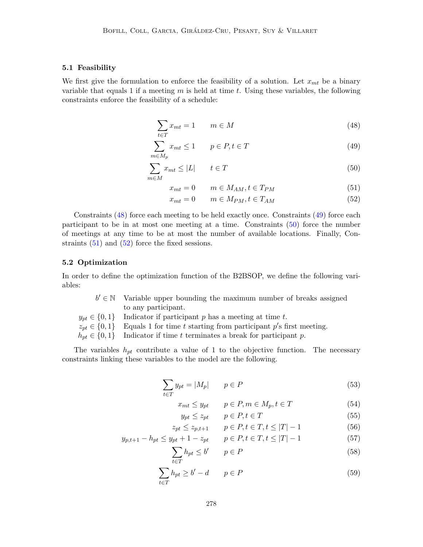## 5.1 Feasibility

We first give the formulation to enforce the feasibility of a solution. Let  $x_{mt}$  be a binary variable that equals 1 if a meeting  $m$  is held at time  $t$ . Using these variables, the following constraints enforce the feasibility of a schedule:

$$
\sum_{t \in T} x_{mt} = 1 \qquad m \in M \tag{48}
$$

$$
\sum_{m \in M_p} x_{mt} \le 1 \qquad p \in P, t \in T \tag{49}
$$

$$
\sum_{m \in M} x_{mt} \le |L| \qquad t \in T \tag{50}
$$

<span id="page-15-2"></span><span id="page-15-1"></span><span id="page-15-0"></span>
$$
x_{mt} = 0 \qquad m \in M_{AM}, t \in T_{PM} \tag{51}
$$

<span id="page-15-4"></span><span id="page-15-3"></span>
$$
x_{mt} = 0 \qquad m \in M_{PM}, t \in T_{AM} \tag{52}
$$

Constraints [\(48\)](#page-15-0) force each meeting to be held exactly once. Constraints [\(49\)](#page-15-1) force each participant to be in at most one meeting at a time. Constraints [\(50\)](#page-15-2) force the number of meetings at any time to be at most the number of available locations. Finally, Constraints  $(51)$  and  $(52)$  force the fixed sessions.

#### 5.2 Optimization

In order to define the optimization function of the B2BSOP, we define the following variables:

| $b' \in \mathbb{N}$ Variable upper bounding the maximum number of breaks assigned     |
|---------------------------------------------------------------------------------------|
| to any participant.                                                                   |
| $y_{pt} \in \{0,1\}$ Indicator if participant p has a meeting at time t.              |
| $z_{pt} \in \{0,1\}$ Equals 1 for time t starting from participant p's first meeting. |
| $h_{pt} \in \{0,1\}$ Indicator if time t terminates a break for participant p.        |

The variables  $h_{pt}$  contribute a value of 1 to the objective function. The necessary constraints linking these variables to the model are the following.

$$
\sum_{t \in T} y_{pt} = |M_p| \qquad p \in P \tag{53}
$$

$$
x_{mt} \le y_{pt} \qquad p \in P, m \in M_p, t \in T \tag{54}
$$

<span id="page-15-9"></span><span id="page-15-8"></span><span id="page-15-7"></span><span id="page-15-6"></span><span id="page-15-5"></span>
$$
y_{pt} \le z_{pt} \qquad p \in P, t \in T \tag{55}
$$

$$
z_{pt} \le z_{p,t+1} \qquad p \in P, t \in T, t \le |T| - 1 \tag{56}
$$

$$
y_{p,t+1} - h_{pt} \le y_{pt} + 1 - z_{pt} \qquad p \in P, t \in T, t \le |T| - 1 \tag{57}
$$

$$
\sum_{t \in T} h_{pt} \le b' \qquad p \in P \tag{58}
$$

$$
\sum_{t \in T} h_{pt} \ge b' - d \qquad p \in P \tag{59}
$$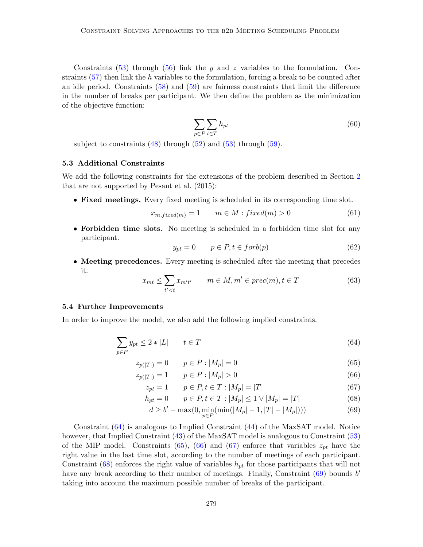Constraints [\(53\)](#page-15-5) through [\(56\)](#page-15-6) link the y and z variables to the formulation. Constraints  $(57)$  then link the h variables to the formulation, forcing a break to be counted after an idle period. Constraints [\(58\)](#page-15-8) and [\(59\)](#page-15-9) are fairness constraints that limit the difference in the number of breaks per participant. We then define the problem as the minimization of the objective function:

$$
\sum_{p \in P} \sum_{t \in T} h_{pt} \tag{60}
$$

subject to constraints  $(48)$  through  $(52)$  and  $(53)$  through  $(59)$ .

## 5.3 Additional Constraints

We add the following constraints for the extensions of the problem described in Section [2](#page-2-0) that are not supported by Pesant et al. (2015):

• Fixed meetings. Every fixed meeting is scheduled in its corresponding time slot.

$$
x_{m, fixed(m)} = 1 \qquad m \in M : fixed(m) > 0 \tag{61}
$$

• Forbidden time slots. No meeting is scheduled in a forbidden time slot for any participant.

<span id="page-16-0"></span>
$$
y_{pt} = 0 \qquad p \in P, t \in forb(p) \tag{62}
$$

• Meeting precedences. Every meeting is scheduled after the meeting that precedes it.

$$
x_{mt} \le \sum_{t' < t} x_{m't'} \qquad m \in M, m' \in prec(m), t \in T \tag{63}
$$

#### <span id="page-16-6"></span>5.4 Further Improvements

In order to improve the model, we also add the following implied constraints.

$$
\sum_{p \in P} y_{pt} \le 2 * |L| \qquad t \in T \tag{64}
$$

$$
z_{p(|T|)} = 0 \t p \in P : |M_p| = 0 \t (65)
$$

$$
z_{p(|T|)} = 1 \qquad p \in P : |M_p| > 0 \tag{66}
$$

$$
z_{pt} = 1 \qquad p \in P, t \in T : |M_p| = |T| \tag{67}
$$

$$
h_{pt} = 0 \qquad p \in P, t \in T : |M_p| \le 1 \vee |M_p| = |T| \tag{68}
$$

<span id="page-16-5"></span><span id="page-16-4"></span><span id="page-16-3"></span><span id="page-16-2"></span><span id="page-16-1"></span>
$$
d \ge b' - \max(0, \min_{p \in P}(\min(|M_p| - 1, |T| - |M_p|)))
$$
\n(69)

Constraint [\(64\)](#page-16-0) is analogous to Implied Constraint [\(44\)](#page-13-0) of the MaxSAT model. Notice however, that Implied Constraint [\(43\)](#page-12-4) of the MaxSAT model is analogous to Constraint [\(53\)](#page-15-5) of the MIP model. Constraints [\(65\)](#page-16-1), [\(66\)](#page-16-2) and [\(67\)](#page-16-3) enforce that variables  $z_{pt}$  have the right value in the last time slot, according to the number of meetings of each participant. Constraint [\(68\)](#page-16-4) enforces the right value of variables  $h_{pt}$  for those participants that will not have any break according to their number of meetings. Finally, Constraint  $(69)$  bounds  $b'$ taking into account the maximum possible number of breaks of the participant.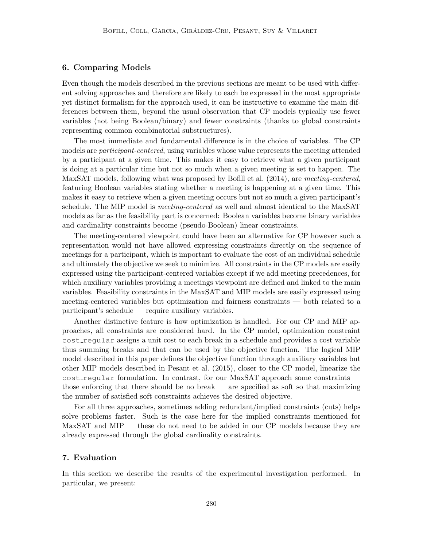## <span id="page-17-0"></span>6. Comparing Models

Even though the models described in the previous sections are meant to be used with different solving approaches and therefore are likely to each be expressed in the most appropriate yet distinct formalism for the approach used, it can be instructive to examine the main differences between them, beyond the usual observation that CP models typically use fewer variables (not being Boolean/binary) and fewer constraints (thanks to global constraints representing common combinatorial substructures).

The most immediate and fundamental difference is in the choice of variables. The CP models are *participant-centered*, using variables whose value represents the meeting attended by a participant at a given time. This makes it easy to retrieve what a given participant is doing at a particular time but not so much when a given meeting is set to happen. The MaxSAT models, following what was proposed by Bofill et al. (2014), are *meeting-centered*, featuring Boolean variables stating whether a meeting is happening at a given time. This makes it easy to retrieve when a given meeting occurs but not so much a given participant's schedule. The MIP model is *meeting-centered* as well and almost identical to the MaxSAT models as far as the feasibility part is concerned: Boolean variables become binary variables and cardinality constraints become (pseudo-Boolean) linear constraints.

The meeting-centered viewpoint could have been an alternative for CP however such a representation would not have allowed expressing constraints directly on the sequence of meetings for a participant, which is important to evaluate the cost of an individual schedule and ultimately the objective we seek to minimize. All constraints in the CP models are easily expressed using the participant-centered variables except if we add meeting precedences, for which auxiliary variables providing a meetings viewpoint are defined and linked to the main variables. Feasibility constraints in the MaxSAT and MIP models are easily expressed using meeting-centered variables but optimization and fairness constraints — both related to a participant's schedule — require auxiliary variables.

Another distinctive feature is how optimization is handled. For our CP and MIP approaches, all constraints are considered hard. In the CP model, optimization constraint cost regular assigns a unit cost to each break in a schedule and provides a cost variable thus summing breaks and that can be used by the objective function. The logical MIP model described in this paper defines the objective function through auxiliary variables but other MIP models described in Pesant et al. (2015), closer to the CP model, linearize the cost regular formulation. In contrast, for our MaxSAT approach some constraints – those enforcing that there should be no break — are specified as soft so that maximizing the number of satisfied soft constraints achieves the desired objective.

For all three approaches, sometimes adding redundant/implied constraints (cuts) helps solve problems faster. Such is the case here for the implied constraints mentioned for MaxSAT and MIP — these do not need to be added in our CP models because they are already expressed through the global cardinality constraints.

## <span id="page-17-1"></span>7. Evaluation

In this section we describe the results of the experimental investigation performed. In particular, we present: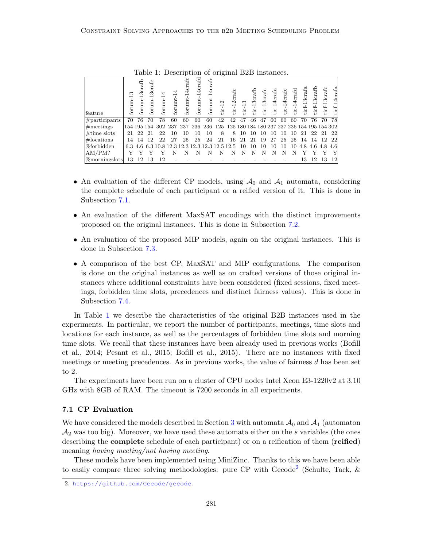| feature            | ∞<br>forum- | ಕ್ಷಿ<br>਼<br>forum. | 13crafc<br>forum- | $\overline{\phantom{0}}$<br>forum-.            | forumt- | 4crafc<br>forumt-1 | 4crafd<br>forunt- | 4crafe<br>forumt | $tic-12$ | 12crafc<br>$\frac{1}{2}$                        | $\frac{3}{2}$<br>$\frac{1}{10}$ | 13 <sub>craf</sub><br>$\frac{1}{10}$ | 13crafc<br>tic- | 14crafa<br>tic- | tic-14crafc | tic-14crafd | 13crafa<br>ticf- | ticf-13crafb | ticf-13crafc | ticf-14crafa |
|--------------------|-------------|---------------------|-------------------|------------------------------------------------|---------|--------------------|-------------------|------------------|----------|-------------------------------------------------|---------------------------------|--------------------------------------|-----------------|-----------------|-------------|-------------|------------------|--------------|--------------|--------------|
| $\#$ participants  | 70          | 76                  | 70                | 78                                             | 60      | 60                 | 60                | 60               | 42       | 42                                              | 47                              | 46                                   | 47              | 60              | 60          | 60          | 70               | 76           | 70           | 78           |
| $\#$ meetings      |             |                     |                   | 154 195 154 302 237 237 236 236                |         |                    |                   |                  |          | 125 125 180 184 180 237 237 236 154 195 154 302 |                                 |                                      |                 |                 |             |             |                  |              |              |              |
| $\#$ time slots    | 21          | 22                  | 21                | 22                                             | 10      | 10                 | 10                | 10               | 8        | 8                                               | 10                              | 10                                   | 10              | 10              | 10          | 10          | 21               | 22           | -21          | 22           |
| $\#$ locations     | 14          | 14                  | 12                | 22                                             | 27      | 25                 | 25                | 24               | 21       | 16                                              | 21                              | 21                                   | 19              | 27              | 25          | 25          | 14               | 14           | - 12         | 22           |
| <b>%forbidden</b>  |             |                     |                   | 6.3 4.6 6.3 10.8 12.3 12.3 12.3 12.3 12.5 12.5 |         |                    |                   |                  |          |                                                 | 10                              | 10                                   | 10              | 10              | 10          | 10          | 4.8              |              | 4.6 4.8      | 4.6          |
| AM/PM?             |             |                     |                   |                                                |         | N                  | N                 | N                | N        |                                                 | N                               | N                                    | N               | N               | N           | N           |                  |              |              |              |
| $ \%$ morningslots | 13          |                     |                   | 12                                             |         |                    |                   |                  |          |                                                 |                                 |                                      |                 |                 |             |             | 13               | 12           | 13           | 12           |

<span id="page-18-1"></span>Table 1: Description of original B2B instances.

- An evaluation of the different CP models, using  $A_0$  and  $A_1$  automata, considering the complete schedule of each participant or a reified version of it. This is done in Subsection [7.1.](#page-18-0)
- An evaluation of the different MaxSAT encodings with the distinct improvements proposed on the original instances. This is done in Subsection [7.2.](#page-20-0)
- An evaluation of the proposed MIP models, again on the original instances. This is done in Subsection [7.3.](#page-20-1)
- A comparison of the best CP, MaxSAT and MIP configurations. The comparison is done on the original instances as well as on crafted versions of those original instances where additional constraints have been considered (fixed sessions, fixed meetings, forbidden time slots, precedences and distinct fairness values). This is done in Subsection [7.4.](#page-20-2)

In Table [1](#page-18-1) we describe the characteristics of the original B2B instances used in the experiments. In particular, we report the number of participants, meetings, time slots and locations for each instance, as well as the percentages of forbidden time slots and morning time slots. We recall that these instances have been already used in previous works (Bofill et al., 2014; Pesant et al., 2015; Bofill et al., 2015). There are no instances with fixed meetings or meeting precedences. As in previous works, the value of fairness d has been set to 2.

The experiments have been run on a cluster of CPU nodes Intel Xeon E3-1220v2 at 3.10 GHz with 8GB of RAM. The timeout is 7200 seconds in all experiments.

### <span id="page-18-0"></span>7.1 CP Evaluation

We have considered the models described in Section [3](#page-5-0) with automata  $\mathcal{A}_0$  and  $\mathcal{A}_1$  (automaton  $\mathcal{A}_2$  was too big). Moreover, we have used these automata either on the s variables (the ones describing the **complete** schedule of each participant) or on a reification of them (**reified**) meaning having meeting/not having meeting.

These models have been implemented using MiniZinc. Thanks to this we have been able to easily compare three solving methodologies: pure CP with Gecode<sup>[2](#page-18-2)</sup> (Schulte, Tack, &

<span id="page-18-2"></span><sup>2.</sup> <https://github.com/Gecode/gecode>.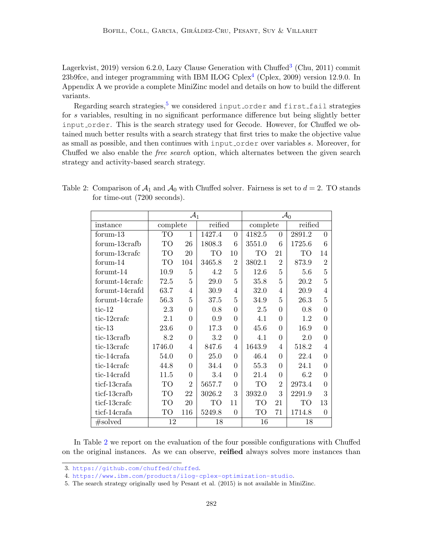Lagerkvist, 2019) version 6.2.0, Lazy Clause Generation with Chuffed<sup>[3](#page-19-0)</sup> (Chu, 2011) commit 23b9fce, and integer programming with IBM ILOG Cplex<sup>[4](#page-19-1)</sup> (Cplex, 2009) version 12.9.0. In Appendix A we provide a complete MiniZinc model and details on how to build the different variants.

Regarding search strategies,  $5$  we considered input order and first fail strategies for s variables, resulting in no significant performance difference but being slightly better input order. This is the search strategy used for Gecode. However, for Chuffed we obtained much better results with a search strategy that first tries to make the objective value as small as possible, and then continues with input order over variables s. Moreover, for Chuffed we also enable the free search option, which alternates between the given search strategy and activity-based search strategy.

|                |           | $\mathcal{A}_1$ |         | $\mathcal{A}_0$ |           |                |         |                |  |  |
|----------------|-----------|-----------------|---------|-----------------|-----------|----------------|---------|----------------|--|--|
| instance       | complete  |                 | reified |                 | complete  |                | reified |                |  |  |
| formula        | <b>TO</b> | $\mathbf{1}$    | 1427.4  | $\overline{0}$  | 4182.5    | $\Omega$       | 2891.2  | $\overline{0}$ |  |  |
| forum-13crafb  | TO        | 26              | 1808.3  | 6               | 3551.0    | 6              | 1725.6  | 6              |  |  |
| forum-13crafe  | <b>TO</b> | 20              | TO      | 10              | TО        | 21             | TO      | 14             |  |  |
| formula 14     | <b>TO</b> | 104             | 3465.8  | $\overline{2}$  | 3802.1    | $\overline{2}$ | 873.9   | $\overline{2}$ |  |  |
| forumt-14      | 10.9      | 5               | 4.2     | 5               | 12.6      | 5              | 5.6     | 5              |  |  |
| forumt-14crafc | 72.5      | 5               | 29.0    | 5               | 35.8      | 5              | 20.2    | $\overline{5}$ |  |  |
| forumt-14crafd | 63.7      | 4               | 30.9    | 4               | 32.0      | 4              | 20.9    | $\overline{4}$ |  |  |
| forumt-14crafe | 56.3      | 5               | 37.5    | 5               | 34.9      | 5              | 26.3    | 5              |  |  |
| $tic-12$       | 2.3       | $\theta$        | 0.8     | $\Omega$        | 2.5       | $\Omega$       | 0.8     | $\overline{0}$ |  |  |
| tic-12crafe    | 2.1       | $\Omega$        | 0.9     | $\Omega$        | 4.1       | $\Omega$       | 1.2     | $\overline{0}$ |  |  |
| $tic-13$       | 23.6      | $\theta$        | 17.3    | $\theta$        | 45.6      | $\theta$       | 16.9    | $\overline{0}$ |  |  |
| tic-13crafb    | 8.2       | 0               | 3.2     | $\Omega$        | 4.1       | $\Omega$       | 2.0     | $\overline{0}$ |  |  |
| tic-13crafe    | 1746.0    | 4               | 847.6   | $\overline{4}$  | 1643.9    | $\overline{4}$ | 518.2   | $\overline{4}$ |  |  |
| tic-14crafa    | 54.0      | $\Omega$        | 25.0    | $\Omega$        | 46.4      | $\Omega$       | 22.4    | $\overline{0}$ |  |  |
| tic-14crafc    | 44.8      | $\theta$        | 34.4    | $\Omega$        | 55.3      | $\theta$       | 24.1    | $\overline{0}$ |  |  |
| tic-14crafd    | 11.5      | 0               | 3.4     | $\Omega$        | 21.4      | $\theta$       | 6.2     | $\overline{0}$ |  |  |
| ticf-13crafa   | TO        | $\overline{2}$  | 5657.7  | $\Omega$        | TO        | $\overline{2}$ | 2973.4  | $\overline{0}$ |  |  |
| ticf-13crafb   | <b>TO</b> | 22              | 3026.2  | 3               | 3932.0    | 3              | 2291.9  | 3              |  |  |
| ticf-13crafc   | <b>TO</b> | 20              | TO      | 11              | <b>TO</b> | 21             | TO      | 13             |  |  |
| ticf-14crafa   | TO        | 116             | 5249.8  | $\theta$        | TO        | 71             | 1714.8  | $\overline{0}$ |  |  |
| #solved        | 12        |                 | 18      |                 | 16        |                | 18      |                |  |  |

<span id="page-19-3"></span>Table 2: Comparison of  $A_1$  and  $A_0$  with Chuffed solver. Fairness is set to  $d = 2$ . TO stands for time-out (7200 seconds).

In Table [2](#page-19-3) we report on the evaluation of the four possible configurations with Chuffed on the original instances. As we can observe, reified always solves more instances than

<span id="page-19-0"></span><sup>3.</sup> <https://github.com/chuffed/chuffed>.

<span id="page-19-1"></span><sup>4.</sup> <https://www.ibm.com/products/ilog-cplex-optimization-studio>.

<span id="page-19-2"></span><sup>5.</sup> The search strategy originally used by Pesant et al. (2015) is not available in MiniZinc.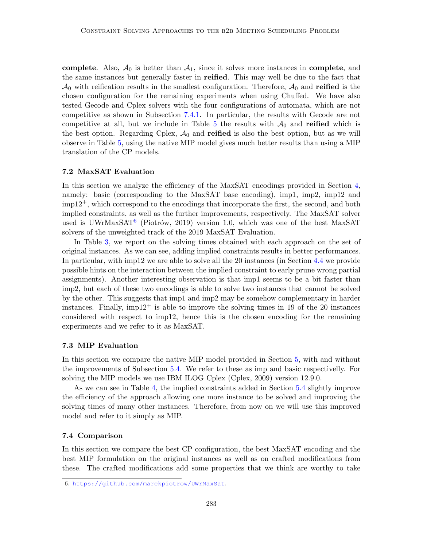complete. Also,  $A_0$  is better than  $A_1$ , since it solves more instances in complete, and the same instances but generally faster in reified. This may well be due to the fact that  $\mathcal{A}_0$  with reification results in the smallest configuration. Therefore,  $\mathcal{A}_0$  and reified is the chosen configuration for the remaining experiments when using Chuffed. We have also tested Gecode and Cplex solvers with the four configurations of automata, which are not competitive as shown in Subsection [7.4.1.](#page-21-1) In particular, the results with Gecode are not competitive at all, but we include in Table [5](#page-23-0) the results with  $\mathcal{A}_0$  and reified which is the best option. Regarding Cplex,  $A_0$  and **reified** is also the best option, but as we will observe in Table [5,](#page-23-0) using the native MIP model gives much better results than using a MIP translation of the CP models.

#### <span id="page-20-0"></span>7.2 MaxSAT Evaluation

In this section we analyze the efficiency of the MaxSAT encodings provided in Section [4,](#page-9-0) namely: basic (corresponding to the MaxSAT base encoding), imp1, imp2, imp12 and  $\text{impl2}^+$ , which correspond to the encodings that incorporate the first, the second, and both implied constraints, as well as the further improvements, respectively. The MaxSAT solver used is UWrMaxSAT<sup>[6](#page-20-3)</sup> (Piotrów, 2019) version 1.0, which was one of the best MaxSAT solvers of the unweighted track of the 2019 MaxSAT Evaluation.

In Table [3,](#page-21-0) we report on the solving times obtained with each approach on the set of original instances. As we can see, adding implied constraints results in better performances. In particular, with imp12 we are able to solve all the 20 instances (in Section [4.4](#page-12-5) we provide possible hints on the interaction between the implied constraint to early prune wrong partial assignments). Another interesting observation is that imp1 seems to be a bit faster than imp2, but each of these two encodings is able to solve two instances that cannot be solved by the other. This suggests that imp1 and imp2 may be somehow complementary in harder instances. Finally,  $impl2^+$  is able to improve the solving times in 19 of the 20 instances considered with respect to imp12, hence this is the chosen encoding for the remaining experiments and we refer to it as MaxSAT.

## <span id="page-20-1"></span>7.3 MIP Evaluation

In this section we compare the native MIP model provided in Section [5,](#page-14-0) with and without the improvements of Subsection [5.4.](#page-16-6) We refer to these as imp and basic respectivelly. For solving the MIP models we use IBM ILOG Cplex (Cplex, 2009) version 12.9.0.

As we can see in Table [4,](#page-22-0) the implied constraints added in Section [5.4](#page-16-6) slightly improve the efficiency of the approach allowing one more instance to be solved and improving the solving times of many other instances. Therefore, from now on we will use this improved model and refer to it simply as MIP.

#### <span id="page-20-2"></span>7.4 Comparison

In this section we compare the best CP configuration, the best MaxSAT encoding and the best MIP formulation on the original instances as well as on crafted modifications from these. The crafted modifications add some properties that we think are worthy to take

<span id="page-20-3"></span><sup>6.</sup> <https://github.com/marekpiotrow/UWrMaxSat>.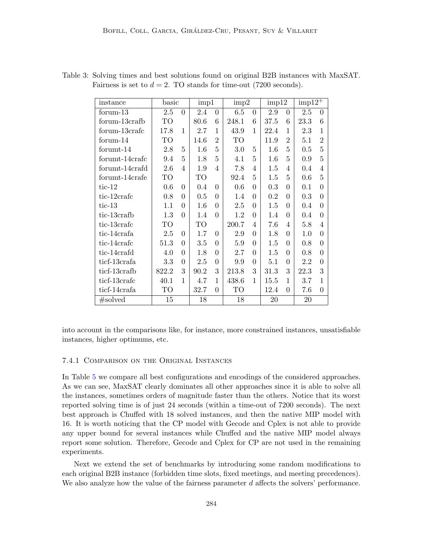| instance       | basic |                | imp1 |                | imp2  |          | imp12   |                | $imp12^+$ |                |
|----------------|-------|----------------|------|----------------|-------|----------|---------|----------------|-----------|----------------|
| formula        | 2.5   | $\overline{0}$ | 2.4  | $\Omega$       | 6.5   | $\theta$ | 2.9     | $\theta$       | 2.5       | $\overline{0}$ |
| forum-13crafb  | TO    |                | 80.6 | 6              | 248.1 | 6        | 37.5    | 6              | 23.3      | 6              |
| forum-13crafc  | 17.8  | $\mathbf{1}$   | 2.7  | 1              | 43.9  | 1        | 22.4    | 1              | 2.3       | $\mathbf{1}$   |
| formula 14     | TO    |                | 14.6 | $\overline{2}$ | TO    |          | 11.9    | $\overline{2}$ | 5.1       | $\overline{2}$ |
| forumt-14      | 2.8   | 5              | 1.6  | 5              | 3.0   | 5        | 1.6     | 5              | 0.5       | $\overline{5}$ |
| forumt-14crafc | 9.4   | 5              | 1.8  | 5              | 4.1   | 5        | $1.6\,$ | 5              | 0.9       | 5              |
| forumt-14crafd | 2.6   | $\overline{4}$ | 1.9  | $\overline{4}$ | 7.8   | 4        | 1.5     | 4              | 0.4       | $\overline{4}$ |
| forumt-14crafe | TO    |                | TO   |                | 92.4  | 5        | 1.5     | 5              | 0.6       | 5              |
| tic- $12$      | 0.6   | $\theta$       | 0.4  | $\Omega$       | 0.6   | $\Omega$ | 0.3     | $\theta$       | 0.1       | $\theta$       |
| tic-12crafe    | 0.8   | $\theta$       | 0.5  | $\Omega$       | 1.4   | 0        | 0.2     | $\theta$       | 0.3       | 0              |
| $tic-13$       | 1.1   | $\theta$       | 1.6  | $\Omega$       | 2.5   | $\Omega$ | 1.5     | $\theta$       | 0.4       | $\theta$       |
| tic-13crafb    | 1.3   | $\theta$       | 1.4  | $\Omega$       | 1.2   | $\theta$ | 1.4     | $\theta$       | $0.4\,$   | $\theta$       |
| tic-13crafc    | TO    |                | TO   |                | 200.7 | 4        | 7.6     | 4              | 5.8       | $\overline{4}$ |
| tic-14crafa    | 2.5   | $\Omega$       | 1.7  | $\Omega$       | 2.9   | $\Omega$ | 1.8     | $\Omega$       | 1.0       | $\Omega$       |
| tic-14crafc    | 51.3  | $\theta$       | 3.5  | $\Omega$       | 5.9   | $\theta$ | 1.5     | $\theta$       | 0.8       | $\theta$       |
| tic-14crafd    | 4.0   | $\theta$       | 1.8  | 0              | 2.7   | 0        | 1.5     | $\theta$       | 0.8       | $\overline{0}$ |
| ticf-13crafa   | 3.3   | $\theta$       | 2.5  | $\Omega$       | 9.9   | $\theta$ | 5.1     | $\theta$       | 2.2       | $\theta$       |
| ticf-13crafb   | 822.2 | 3              | 90.2 | 3              | 213.8 | 3        | 31.3    | 3              | 22.3      | 3              |
| ticf-13crafc   | 40.1  | $\mathbf{1}$   | 4.7  | 1              | 438.6 | 1        | 15.5    | 1              | 3.7       | $\mathbf{1}$   |
| ticf-14crafa   | TO    |                | 32.7 | $\theta$       | TO    |          | 12.4    | $\overline{0}$ | 7.6       | $\overline{0}$ |
| #solved        | 15    |                | 18   |                | 18    |          | 20      |                | 20        |                |

<span id="page-21-0"></span>Table 3: Solving times and best solutions found on original B2B instances with MaxSAT. Fairness is set to  $d = 2$ . TO stands for time-out (7200 seconds).

into account in the comparisons like, for instance, more constrained instances, unsatisfiable instances, higher optimums, etc.

## <span id="page-21-1"></span>7.4.1 Comparison on the Original Instances

In Table [5](#page-23-0) we compare all best configurations and encodings of the considered approaches. As we can see, MaxSAT clearly dominates all other approaches since it is able to solve all the instances, sometimes orders of magnitude faster than the others. Notice that its worst reported solving time is of just 24 seconds (within a time-out of 7200 seconds). The next best approach is Chuffed with 18 solved instances, and then the native MIP model with 16. It is worth noticing that the CP model with Gecode and Cplex is not able to provide any upper bound for several instances while Chuffed and the native MIP model always report some solution. Therefore, Gecode and Cplex for CP are not used in the remaining experiments.

Next we extend the set of benchmarks by introducing some random modifications to each original B2B instance (forbidden time slots, fixed meetings, and meeting precedences). We also analyze how the value of the fairness parameter d affects the solvers' performance.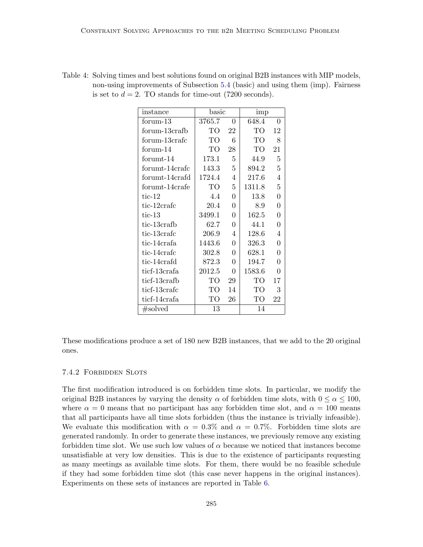| instance       | basic  |          | imp    |                |
|----------------|--------|----------|--------|----------------|
| formula 13     | 3765.7 | $\theta$ | 648.4  | $\Omega$       |
| forum-13crafb  | TО     | 22       | TO     | 12             |
| forum-13crafc  | TO     | 6        | TO     | 8              |
| formula 14     | TО     | 28       | TO     | 21             |
| forumt-14      | 173.1  | 5        | 44.9   | 5              |
| forumt-14crafc | 143.3  | 5        | 894.2  | $\overline{5}$ |
| forumt-14crafd | 1724.4 | 4        | 217.6  | 4              |
| forumt-14crafe | TO     | 5        | 1311.8 | $\overline{5}$ |
| $tic-12$       | 4.4    | $\theta$ | 13.8   | $\theta$       |
| tic-12crafe    | 20.4   | $\theta$ | 8.9    | $\theta$       |
| $tic-13$       | 3499.1 | 0        | 162.5  | $\Omega$       |
| tic-13crafb    | 62.7   | $\Omega$ | 44.1   | $\Omega$       |
| tic-13crafc    | 206.9  | 4        | 128.6  | $\overline{4}$ |
| tic-14crafa    | 1443.6 | 0        | 326.3  | $\theta$       |
| tic-14crafc    | 302.8  | $\Omega$ | 628.1  | $\Omega$       |
| tic-14crafd    | 872.3  | $\theta$ | 194.7  | $\theta$       |
| ticf-13crafa   | 2012.5 | 0        | 1583.6 | 0              |
| ticf-13crafb   | TО     | 29       | TО     | 17             |
| ticf-13crafc   | TO     | 14       | TO     | 3              |
| ticf-14crafa   | TO     | 26       | TO     | 22             |
| #solved        | 13     |          | 14     |                |

<span id="page-22-0"></span>Table 4: Solving times and best solutions found on original B2B instances with MIP models, non-using improvements of Subsection [5.4](#page-16-6) (basic) and using them (imp). Fairness is set to  $d = 2$ . TO stands for time-out (7200 seconds).

These modifications produce a set of 180 new B2B instances, that we add to the 20 original ones.

## 7.4.2 Forbidden Slots

The first modification introduced is on forbidden time slots. In particular, we modify the original B2B instances by varying the density  $\alpha$  of forbidden time slots, with  $0 \leq \alpha \leq 100$ , where  $\alpha = 0$  means that no participant has any forbidden time slot, and  $\alpha = 100$  means that all participants have all time slots forbidden (thus the instance is trivially infeasible). We evaluate this modification with  $\alpha = 0.3\%$  and  $\alpha = 0.7\%$ . Forbidden time slots are generated randomly. In order to generate these instances, we previously remove any existing forbidden time slot. We use such low values of  $\alpha$  because we noticed that instances become unsatisfiable at very low densities. This is due to the existence of participants requesting as many meetings as available time slots. For them, there would be no feasible schedule if they had some forbidden time slot (this case never happens in the original instances). Experiments on these sets of instances are reported in Table [6.](#page-24-0)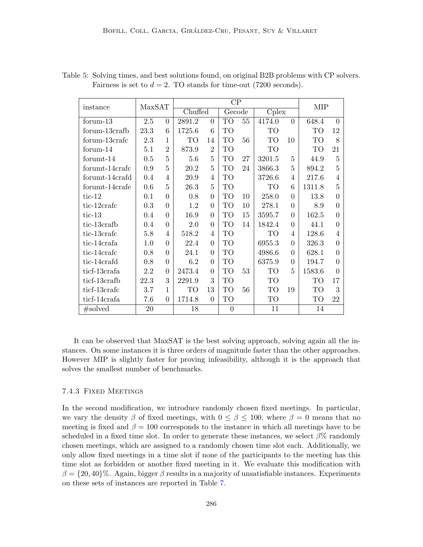| instance       |      | $\rm CP$<br>MaxSAT |         |                |           |    |        | <b>MIP</b>     |           |                |
|----------------|------|--------------------|---------|----------------|-----------|----|--------|----------------|-----------|----------------|
|                |      |                    | Chuffed |                | Gecode    |    | Cplex  |                |           |                |
| forum-13       | 2.5  | $\Omega$           | 2891.2  | $\Omega$       | <b>TO</b> | 55 | 4174.0 | $\Omega$       | 648.4     | $\Omega$       |
| forum-13crafb  | 23.3 | 6                  | 1725.6  | 6              | TO        |    | TO     |                | TO        | 12             |
| forum-13crafc  | 2.3  | 1                  | TO      | 14             | <b>TO</b> | 56 | TO     | 10             | <b>TO</b> | 8              |
| formula 14     | 5.1  | $\overline{2}$     | 873.9   | $\overline{2}$ | TО        |    | TO     |                | TО        | 21             |
| forumt-14      | 0.5  | 5                  | 5.6     | 5              | <b>TO</b> | 27 | 3201.5 | 5              | 44.9      | 5              |
| forumt-14crafc | 0.9  | 5                  | 20.2    | 5              | <b>TO</b> | 24 | 3866.3 | 5              | 894.2     | 5              |
| forumt-14crafd | 0.4  | 4                  | 20.9    | 4              | TО        |    | 3726.6 | $\overline{4}$ | 217.6     | $\overline{4}$ |
| forumt-14crafe | 0.6  | 5                  | 26.3    | 5              | TО        |    | TО     | 6              | 1311.8    | 5              |
| $tic-12$       | 0.1  | $\Omega$           | 0.8     | $\Omega$       | TО        | 10 | 258.0  | $\Omega$       | 13.8      | 0              |
| tic-12crafe    | 0.3  | $\theta$           | 1.2     | $\Omega$       | TO        | 10 | 278.1  | $\theta$       | 8.9       | 0              |
| $tic-13$       | 0.4  | $\Omega$           | 16.9    | $\Omega$       | <b>TO</b> | 15 | 3595.7 | $\theta$       | 162.5     | 0              |
| tic-13crafb    | 0.4  | $\theta$           | 2.0     | $\theta$       | TО        | 14 | 1842.4 | $\theta$       | 44.1      | 0              |
| tic-13crafe    | 5.8  | 4                  | 518.2   | 4              | <b>TO</b> |    | TO     | $\overline{4}$ | 128.6     | 4              |
| tic-14crafa    | 1.0  | $\Omega$           | 22.4    | $\Omega$       | <b>TO</b> |    | 6955.3 | $\Omega$       | 326.3     | $\Omega$       |
| tic-14crafe    | 0.8  | $\theta$           | 24.1    | $\Omega$       | <b>TO</b> |    | 4986.6 | $\Omega$       | 628.1     | $\Omega$       |
| tic-14crafd    | 0.8  | $\theta$           | 6.2     | $\theta$       | <b>TO</b> |    | 6375.9 | $\theta$       | 194.7     | 0              |
| ticf-13crafa   | 2.2  | $\Omega$           | 2473.4  | $\Omega$       | TО        | 53 | TO     | 5              | 1583.6    | $\Omega$       |
| ticf-13crafb   | 22.3 | 3                  | 2291.9  | 3              | TО        |    | TO     |                | TO        | 17             |
| ticf-13crafc   | 3.7  | 1                  | TО      | 13             | TO        | 56 | TO     | 19             | TO        | 3              |
| ticf-14crafa   | 7.6  | 0                  | 1714.8  | $\Omega$       | TO        |    | TO     |                | TO        | 22             |
| #solved        | 20   |                    | 18      |                | $\theta$  |    | 11     |                | 14        |                |

<span id="page-23-0"></span>Table 5: Solving times, and best solutions found, on original B2B problems with CP solvers. Fairness is set to  $d = 2$ . TO stands for time-out (7200 seconds).

It can be observed that MaxSAT is the best solving approach, solving again all the instances. On some instances it is three orders of magnitude faster than the other approaches. However MIP is slightly faster for proving infeasibility, although it is the approach that solves the smallest number of benchmarks.

## 7.4.3 Fixed Meetings

In the second modification, we introduce randomly chosen fixed meetings. In particular, we vary the density  $\beta$  of fixed meetings, with  $0 \le \beta \le 100$ , where  $\beta = 0$  means that no meeting is fixed and  $\beta = 100$  corresponds to the instance in which all meetings have to be scheduled in a fixed time slot. In order to generate these instances, we select  $\beta\%$  randomly chosen meetings, which are assigned to a randomly chosen time slot each. Additionally, we only allow fixed meetings in a time slot if none of the participants to the meeting has this time slot as forbidden or another fixed meeting in it. We evaluate this modification with  $\beta = \{20, 40\}$ %. Again, bigger  $\beta$  results in a majority of unsatisfiable instances. Experiments on these sets of instances are reported in Table [7.](#page-25-0)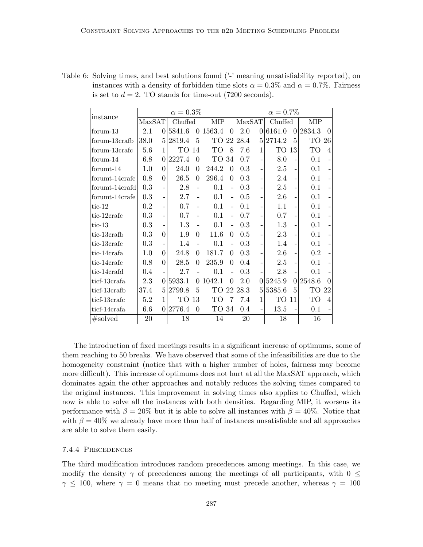| instance       |         |                | $\alpha=0.3\%$ |          |            | $\alpha = 0.7\%$         |        |          |         |          |        |                |  |
|----------------|---------|----------------|----------------|----------|------------|--------------------------|--------|----------|---------|----------|--------|----------------|--|
|                | MaxSAT  |                | Chuffed        |          | <b>MIP</b> |                          | MaxSAT |          | Chuffed |          | MIP    |                |  |
| formula        | 2.1     | 0              | 5841.6         | $\theta$ | 1563.4     | $\Omega$                 | 2.0    | $\Omega$ | 6161.0  | $\theta$ | 2834.3 | $\Omega$       |  |
| forum-13crafb  | 38.0    | 5              | 2819.4         | 5        | TO         | 22                       | 28.4   | 5.       | 2714.2  | 5        | TO     | 26             |  |
| forum-13crafc  | 5.6     | $\mathbf{1}$   | TO             | 14       | TO         | 8                        | 7.6    | 1        | TO      | 13       | TO     | $\overline{4}$ |  |
| formula 14     | 6.8     | $\Omega$       | 2227.4         | 0        | TO 34      |                          | 0.7    |          | 8.0     |          | 0.1    |                |  |
| formula 14     | $1.0\,$ | $\Omega$       | 24.0           | 0        | 244.2      | $\theta$                 | 0.3    |          | 2.5     |          | 0.1    |                |  |
| forumt-14crafc | 0.8     | $\Omega$       | 26.5           | $\Omega$ | 296.4      | $\Omega$                 | 0.3    |          | 2.4     |          | 0.1    | $\overline{a}$ |  |
| forumt-14crafd | 0.3     | -              | $2.8\,$        |          | 0.1        | $\overline{a}$           | 0.3    |          | 2.5     |          | 0.1    |                |  |
| forumt-14crafe | 0.3     | $\overline{a}$ | 2.7            |          | 0.1        | $\overline{a}$           | 0.5    |          | 2.6     |          | 0.1    |                |  |
| $tic-12$       | 0.2     |                | 0.7            |          | 0.1        | $\overline{a}$           | 0.1    |          | 1.1     |          | 0.1    | $\overline{a}$ |  |
| tic-12crafe    | 0.3     |                | 0.7            |          | 0.1        | $\overline{a}$           | 0.7    |          | 0.7     |          | 0.1    |                |  |
| tic- $13$      | 0.3     |                | 1.3            |          | 0.1        | $\overline{a}$           | 0.3    |          | 1.3     |          | 0.1    |                |  |
| tic-13crafb    | 0.3     | $\theta$       | 1.9            | 0        | 11.6       | $\Omega$                 | 0.5    |          | 2.3     |          | 0.1    |                |  |
| tic-13crafc    | 0.3     |                | 1.4            |          | 0.1        |                          | 0.3    |          | 1.4     |          | 0.1    |                |  |
| tic-14crafa    | 1.0     | $\theta$       | 24.8           | 0        | 181.7      | $\Omega$                 | 0.3    |          | 2.6     |          | 0.2    |                |  |
| tic-14crafc    | 0.8     | $\Omega$       | 28.5           | $\Omega$ | 235.9      | $\Omega$                 | 0.4    |          | 2.5     |          | 0.1    |                |  |
| tic-14crafd    | 0.4     |                | 2.7            |          | 0.1        | $\overline{\phantom{0}}$ | 0.3    |          | 2.8     |          | 0.1    |                |  |
| ticf-13crafa   | 2.3     | $\Omega$       | 5933.1         | $\Omega$ | 1042.1     | $\Omega$                 | 2.0    | 01       | 5245.9  | $\Omega$ | 2548.6 | $\Omega$       |  |
| ticf-13crafb   | 37.4    | 5              | 2799.8         | 5        | TO         | 22                       | 28.3   | 5        | 5385.6  | 5        | TO     | 22             |  |
| ticf-13crafc   | 5.2     | 1              | TO             | 13       | TO         | 7                        | 7.4    | 1        | TО      | 11       | TO     | $\overline{4}$ |  |
| ticf-14crafa   | 6.6     | 0              | 2776.4         | $\Omega$ | TO 34      |                          | 0.4    |          | 13.5    |          | 0.1    |                |  |
| #solved        | 20      |                | 18             |          | 14         |                          | 20     |          | 18      |          | 16     |                |  |

<span id="page-24-0"></span>Table 6: Solving times, and best solutions found  $(2)$  meaning unsatisfiability reported), on instances with a density of forbidden time slots  $\alpha = 0.3\%$  and  $\alpha = 0.7\%$ . Fairness is set to  $d = 2$ . TO stands for time-out (7200 seconds).

The introduction of fixed meetings results in a significant increase of optimums, some of them reaching to 50 breaks. We have observed that some of the infeasibilities are due to the homogeneity constraint (notice that with a higher number of holes, fairness may become more difficult). This increase of optimums does not hurt at all the MaxSAT approach, which dominates again the other approaches and notably reduces the solving times compared to the original instances. This improvement in solving times also applies to Chuffed, which now is able to solve all the instances with both densities. Regarding MIP, it worsens its performance with  $\beta = 20\%$  but it is able to solve all instances with  $\beta = 40\%$ . Notice that with  $\beta = 40\%$  we already have more than half of instances unsatisfiable and all approaches are able to solve them easily.

#### 7.4.4 Precedences

The third modification introduces random precedences among meetings. In this case, we modify the density  $\gamma$  of precedences among the meetings of all participants, with  $0 \leq$  $\gamma \leq 100$ , where  $\gamma = 0$  means that no meeting must precede another, whereas  $\gamma = 100$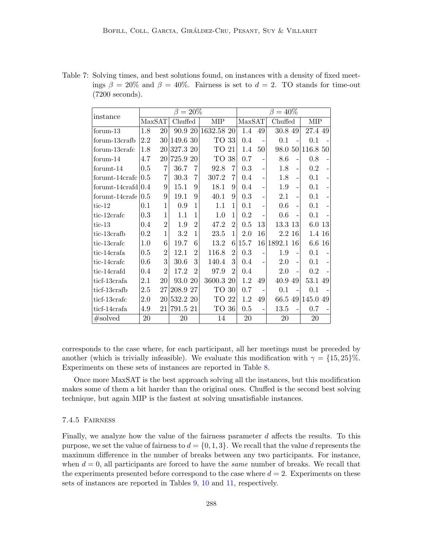<span id="page-25-0"></span>

| Table 7: Solving times, and best solutions found, on instances with a density of fixed meet- |  |  |  |  |  |
|----------------------------------------------------------------------------------------------|--|--|--|--|--|
| ings $\beta = 20\%$ and $\beta = 40\%$ . Fairness is set to $d = 2$ . TO stands for time-out |  |  |  |  |  |
| $(7200$ seconds).                                                                            |  |  |  |  |  |

| instance                  |     |                 | $\beta=20\%$ |                |            |                | $\beta = 40\%$ |    |           |                |          |                |  |
|---------------------------|-----|-----------------|--------------|----------------|------------|----------------|----------------|----|-----------|----------------|----------|----------------|--|
|                           |     | MaxSAT          | Chuffed      |                | MIP        |                | MaxSAT         |    | Chuffed   |                | MIP      |                |  |
| formula                   | 1.8 | 20              | 90.9 20      |                | 1632.58 20 |                | 1.4            | 49 | 30.8 49   |                | 27.4 49  |                |  |
| forum-13crafb             | 2.2 | 30 <sup>°</sup> | 149.6 30     |                | TO 33      |                | 0.4            |    | 0.1       |                | 0.1      |                |  |
| forum-13crafe             | 1.8 | 20              | 327.3 20     |                | TO         | 21             | 1.4            | 50 | 98.0 50   |                | 116.8 50 |                |  |
| formula                   | 4.7 | 20              | 725.9 20     |                | TO         | 38             | 0.7            |    | 8.6       | -              | 0.8      |                |  |
| forumt-14                 | 0.5 | 7               | 36.7         | 7              | 92.8       | 7              | 0.3            |    | 1.8       | -              | 0.2      |                |  |
| forumt-14crafe            | 0.5 | 7               | 30.3         | 7              | 307.2      | 7              | 0.4            |    | 1.8       | $\overline{a}$ | 0.1      |                |  |
| forumt-14 $crafd$ 0.4     |     | 9               | 15.1         | 9              | 18.1       | 9              | 0.4            |    | 1.9       | $\overline{a}$ | 0.1      | $\overline{a}$ |  |
| $formula 14 \text{crafe}$ | 0.5 | 9               | 19.1         | 9              | 40.1       | 9              | 0.3            |    | 2.1       | $\overline{a}$ | 0.1      |                |  |
| $tic-12$                  | 0.1 | 1               | 0.9          | 1              | 1.1        | 1              | 0.1            |    | 0.6       | -              | 0.1      |                |  |
| tic-12crafe               | 0.3 | 1               | $1.1\,$      | $\mathbf{1}$   | 1.0        | 1              | 0.2            |    | 0.6       | $\overline{a}$ | 0.1      |                |  |
| $tic-13$                  | 0.4 | $\overline{2}$  | 1.9          | $\overline{2}$ | 47.2       | $\overline{2}$ | 0.5            | 13 | 13.3 13   |                | 6.0 13   |                |  |
| tic-13crafb               | 0.2 | 1               | $3.2\,$      | 1              | 23.5       | $\mathbf{1}$   | 2.0            | 16 | 2.2 16    |                | 1.4 16   |                |  |
| tic-13crafc               | 1.0 | 6               | 19.7         | 6              | 13.2       | 6              | 15.7           | 16 | 1892.1 16 |                | $6.6\,$  | 16             |  |
| tic-14crafa               | 0.5 | $\overline{2}$  | 12.1         | $\overline{2}$ | 116.8      | $\overline{2}$ | 0.3            |    | 1.9       | $\overline{a}$ | 0.1      |                |  |
| tic-14crafc               | 0.6 | 3               | 30.6         | 3              | 140.4      | 3              | 0.4            |    | 2.0       | -              | 0.1      |                |  |
| tic-14crafd               | 0.4 | $\overline{2}$  | 17.2         | $\overline{2}$ | 97.9       | $\overline{2}$ | 0.4            |    | 2.0       | $\overline{a}$ | 0.2      |                |  |
| ticf-13crafa              | 2.1 | 20              | 93.0         | 20             | 3600.3 20  |                | 1.2            | 49 | 40.9      | 49             | 53.1 49  |                |  |
| ticf-13crafb              | 2.5 | 27              | 208.9 27     |                | TO         | 30             | 0.7            |    | 0.1       |                | 0.1      |                |  |
| ticf-13crafc              | 2.0 | 20              | 532.2 20     |                | TО         | 22             | 1.2            | 49 | 66.549    |                | 145.049  |                |  |
| ticf-14crafa              | 4.9 | 21              | 791.5 21     |                | TO 36      |                | 0.5            |    | 13.5      | $\overline{a}$ | 0.7      |                |  |
| #solved                   | 20  |                 | 20           |                | 14         |                | 20             |    | 20        |                | 20       |                |  |

corresponds to the case where, for each participant, all her meetings must be preceded by another (which is trivially infeasible). We evaluate this modification with  $\gamma = \{15, 25\}\%$ . Experiments on these sets of instances are reported in Table [8.](#page-26-1)

Once more MaxSAT is the best approach solving all the instances, but this modification makes some of them a bit harder than the original ones. Chuffed is the second best solving technique, but again MIP is the fastest at solving unsatisfiable instances.

## 7.4.5 Fairness

Finally, we analyze how the value of the fairness parameter d affects the results. To this purpose, we set the value of fairness to  $d = \{0, 1, 3\}$ . We recall that the value d represents the maximum difference in the number of breaks between any two participants. For instance, when  $d = 0$ , all participants are forced to have the *same* number of breaks. We recall that the experiments presented before correspond to the case where  $d = 2$ . Experiments on these sets of instances are reported in Tables [9,](#page-27-0) [10](#page-28-0) and [11,](#page-29-0) respectively.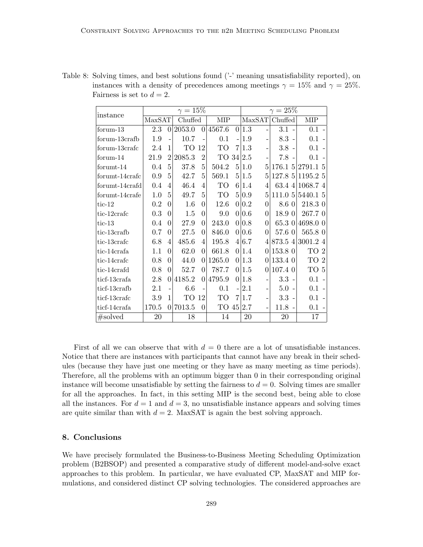<span id="page-26-1"></span>

| Table 8: Solving times, and best solutions found ('-' meaning unsatisfiability reported), on |
|----------------------------------------------------------------------------------------------|
| instances with a density of precedences among meetings $\gamma = 15\%$ and $\gamma = 25\%$ . |
| Fairness is set to $d=2$ .                                                                   |
|                                                                                              |

| instance       |         |                | $\gamma=15\%$ |                |            | $\gamma=25\%$  |       |                |                |                 |  |  |  |
|----------------|---------|----------------|---------------|----------------|------------|----------------|-------|----------------|----------------|-----------------|--|--|--|
|                | MaxSAT  |                | Chuffed       |                | <b>MIP</b> |                |       |                | MaxSAT Chuffed | MIP             |  |  |  |
| forum-13       | 2.3     | $\Omega$       | 2053.0        | $\Omega$       | 4567.6     |                | 0 1.3 | $\overline{a}$ | $3.1 -$        | $0.1 -$         |  |  |  |
| forum-13crafb  | 1.9     |                | 10.7          |                | 0.1        |                | 1.9   |                | $8.3 -$        | 0.1             |  |  |  |
| forum-13crafc  | 2.4     | 1              | TО            | 12             | TO         | 7              | 1.3   |                | $3.8 -$        | 0.1             |  |  |  |
| formula 14     | 21.9    | $\overline{2}$ | 2085.3        | $\overline{2}$ | TO 34 2.5  |                |       |                | $7.8 -$        | $0.1 -$         |  |  |  |
| forumt-14      | 0.4     | 5              | 37.8          | 5              | 504.2      | 5 <sup>1</sup> | 1.0   | 5              | 176.15 2791.15 |                 |  |  |  |
| forumt-14crafc | 0.9     | 5              | 42.7          | 5              | 569.1      |                | 5 1.5 | 5              | 127.85         | 1195.2 5        |  |  |  |
| forumt-14crafd | 0.4     | 4              | 46.4          | 4              | TO         |                | 61.4  | 4              | 63.44          | 1068.74         |  |  |  |
| forumt-14crafe | 1.0     | 5              | 49.7          | 5              | TO         | $\frac{5}{2}$  | 0.9   | 5              | 111.05         | 5440.1 5        |  |  |  |
| tic- $12$      | 0.2     | $\Omega$       | 1.6           | $\theta$       | 12.6       | $\vert$        | 0.2   | 0              | 8.6 0          | 218.3 0         |  |  |  |
| tic-12crafc    | 0.3     | $\Omega$       | 1.5           | 0              | 9.0        |                | 0 0.6 | 0              | 18.9 0         | 267.70          |  |  |  |
| tic- $13$      | 0.4     | $\theta$       | 27.9          | 0              | 243.0      | 0              | 0.8   | 0              | 65.3 0         | 4698.0 0        |  |  |  |
| tic-13crafb    | 0.7     | $\theta$       | 27.5          | $\theta$       | 846.0      | $\Omega$       | 0.6   | 0              | 57.6 0         | 565.80          |  |  |  |
| tic-13crafc    | 6.8     | 4              | 485.6         | 4              | 195.8      | 4 <sup>1</sup> | 6.7   | 4              | 873.54         | 3001.24         |  |  |  |
| tic-14crafa    | $1.1\,$ | $\theta$       | 62.0          | 0              | 661.8      |                | 0 1.4 | 0              | 153.8 0        | TO 2            |  |  |  |
| tic-14crafc    | 0.8     | 0              | 44.0          | $\theta$       | 1265.0     | 0              | 1.3   | 0              | 133.4 0        | TO <sub>2</sub> |  |  |  |
| tic-14crafd    | 0.8     | $\theta$       | 52.7          | $\theta$       | 787.7      | $\Omega$       | 1.5   | 0              | 107.4 0        | TO 5            |  |  |  |
| ticf-13crafa   | 2.8     | $\Omega$       | 4185.2        | $\theta$       | 4795.9     | $\Omega$       | 1.8   |                | $3.3 -$        | $0.1 -$         |  |  |  |
| ticf-13crafb   | 2.1     |                | 6.6           |                | 0.1        |                | 2.1   |                | $5.0 -$        | $0.1 -$         |  |  |  |
| ticf-13crafc   | 3.9     | 1              | TО            | 12             | TO         | 7              | 1.7   |                | $3.3 -$        | $0.1 -$         |  |  |  |
| ticf-14crafa   | 170.5   | $\Omega$       | 7013.5        | $\overline{0}$ | TO         | 45             | 2.7   |                | $11.8 -$       | $0.1 -$         |  |  |  |
| #solved        | 20      |                | 18            |                | 14         |                | 20    |                | 20             | 17              |  |  |  |

First of all we can observe that with  $d = 0$  there are a lot of unsatisfiable instances. Notice that there are instances with participants that cannot have any break in their schedules (because they have just one meeting or they have as many meeting as time periods). Therefore, all the problems with an optimum bigger than 0 in their corresponding original instance will become unsatisfiable by setting the fairness to  $d = 0$ . Solving times are smaller for all the approaches. In fact, in this setting MIP is the second best, being able to close all the instances. For  $d = 1$  and  $d = 3$ , no unsatisfiable instance appears and solving times are quite similar than with  $d = 2$ . MaxSAT is again the best solving approach.

## <span id="page-26-0"></span>8. Conclusions

We have precisely formulated the Business-to-Business Meeting Scheduling Optimization problem (B2BSOP) and presented a comparative study of different model-and-solve exact approaches to this problem. In particular, we have evaluated CP, MaxSAT and MIP formulations, and considered distinct CP solving technologies. The considered approaches are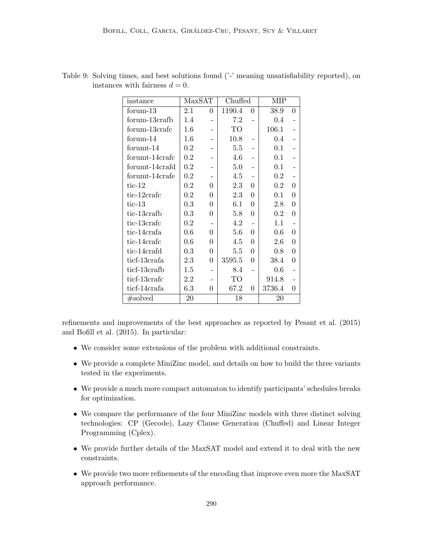| instance       | MaxSAT  |                          | Chuffed |                          | <b>MIP</b> |          |
|----------------|---------|--------------------------|---------|--------------------------|------------|----------|
| forum-13       | $2.1\,$ | $\Omega$                 | 1190.4  | 0                        | 38.9       | 0        |
| forum-13crafb  | 1.4     |                          | 7.2     |                          | 0.4        |          |
| forum-13crafc  | 1.6     | -                        | TO      |                          | 106.1      |          |
| $formula-14$   | $1.6\,$ |                          | 10.8    |                          | 0.4        |          |
| forumt-14      | 0.2     |                          | 5.5     |                          | 0.1        |          |
| forumt-14crafc | 0.2     | $\overline{\phantom{0}}$ | 4.6     |                          | 0.1        |          |
| forumt-14crafd | 0.2     | -                        | 5.0     |                          | 0.1        |          |
| forumt-14crafe | 0.2     |                          | 4.5     |                          | $0.2\,$    |          |
| tic- $12$      | 0.2     | 0                        | 2.3     | 0                        | 0.2        | 0        |
| tic-12crafe    | 0.2     | 0                        | 2.3     | 0                        | 0.1        | 0        |
| tic-13         | 0.3     | 0                        | 6.1     | 0                        | 2.8        | 0        |
| tic-13crafb    | 0.3     | 0                        | 5.8     | $\Omega$                 | 0.2        | $\Omega$ |
| tic-13crafc    | 0.2     | -                        | 4.2     | $\overline{\phantom{0}}$ | 1.1        |          |
| tic-14crafa    | 0.6     | 0                        | 5.6     | 0                        | 0.6        | 0        |
| tic-14crafe    | 0.6     | 0                        | 4.5     | $\Omega$                 | 2.6        | $\theta$ |
| tic-14crafd    | 0.3     | 0                        | 5.5     | 0                        | 0.8        | 0        |
| ticf-13crafa   | 2.3     | 0                        | 3595.5  | $\Omega$                 | 38.4       | 0        |
| ticf-13crafb   | 1.5     |                          | 8.4     |                          | 0.6        |          |
| ticf-13crafc   | 2.2     |                          | TО      |                          | 914.8      |          |
| ticf-14crafa   | 6.3     | 0                        | 67.2    | 0                        | 3736.4     | 0        |
| #solved        | 20      |                          | 18      |                          | 20         |          |

<span id="page-27-0"></span>Table 9: Solving times, and best solutions found ( $\cdot$ ) meaning unsatisfiability reported), on instances with fairness  $d = 0$ .

refinements and improvements of the best approaches as reported by Pesant et al. (2015) and Bofill et al. (2015). In particular:

- We consider some extensions of the problem with additional constraints.
- We provide a complete MiniZinc model, and details on how to build the three variants tested in the experiments.
- We provide a much more compact automaton to identify participants' schedules breaks for optimization.
- We compare the performance of the four MiniZinc models with three distinct solving technologies: CP (Gecode), Lazy Clause Generation (Chuffed) and Linear Integer Programming (Cplex).
- We provide further details of the MaxSAT model and extend it to deal with the new constraints.
- We provide two more refinements of the encoding that improve even more the MaxSAT approach performance.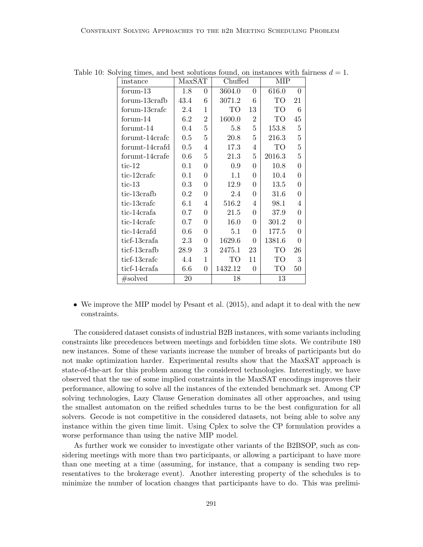<span id="page-28-0"></span>

| instance       | MaxSAT  |                  | Chuffed   |                | MIP             |                  |  |
|----------------|---------|------------------|-----------|----------------|-----------------|------------------|--|
| forum-13       | 1.8     | $\overline{0}$   | 3604.0    | $\overline{0}$ | 616.0           | $\theta$         |  |
| forum-13crafb  | 43.4    | 6                | 3071.2    | 6              | TO <sup>-</sup> | 21               |  |
| forum-13crafe  | 2.4     | $\mathbf{1}$     | <b>TO</b> | 13             | TO              | 6                |  |
| forum-14       | $6.2\,$ | $\boldsymbol{2}$ | 1600.0    | $\overline{2}$ | TO              | 45               |  |
| forumt-14      | 0.4     | $\overline{5}$   | 5.8       | $\overline{5}$ | 153.8           | $\overline{5}$   |  |
| forumt-14crafc | 0.5     | $\overline{5}$   | 20.8      | 5              | 216.3           | $\overline{5}$   |  |
| forumt-14crafd | 0.5     | $\overline{4}$   | 17.3      | 4              | TO              | $\overline{5}$   |  |
| forumt-14crafe | 0.6     | $\overline{5}$   | 21.3      | 5              | 2016.3          | 5                |  |
| $tic-12$       | 0.1     | $\boldsymbol{0}$ | 0.9       | $\overline{0}$ | 10.8            | $\theta$         |  |
| tic-12crafe    | 0.1     | $\overline{0}$   | 1.1       | 0              | 10.4            | $\theta$         |  |
| $tic-13$       | 0.3     | $\overline{0}$   | 12.9      | $\overline{0}$ | 13.5            | $\theta$         |  |
| tic-13crafb    | $0.2\,$ | $\boldsymbol{0}$ | 2.4       | 0              | $31.6\,$        | $\theta$         |  |
| tic-13crafc    | 6.1     | 4                | 516.2     | 4              | 98.1            | 4                |  |
| tic-14crafa    | 0.7     | $\overline{0}$   | 21.5      | $\overline{0}$ | 37.9            | $\Omega$         |  |
| tic-14crafc    | 0.7     | $\overline{0}$   | 16.0      | $\overline{0}$ | 301.2           | $\theta$         |  |
| tic-14crafd    | 0.6     | $\boldsymbol{0}$ | 5.1       | $\overline{0}$ | 177.5           | $\boldsymbol{0}$ |  |
| ticf-13crafa   | 2.3     | $\boldsymbol{0}$ | 1629.6    | $\overline{0}$ | 1381.6          | 0                |  |
| ticf-13crafb   | 28.9    | 3                | 2475.1    | 23             | TO              | 26               |  |
| ticf-13crafc   | 4.4     | $\mathbf{1}$     | TО        | 11             | TO              | 3                |  |
| ticf-14crafa   | 6.6     | $\overline{0}$   | 1432.12   | $\theta$       | TO              | 50               |  |
| #solved        | 20      |                  | 18        |                | 13              |                  |  |

Table 10: Solving times, and best solutions found, on instances with fairness  $d = 1$ .

• We improve the MIP model by Pesant et al. (2015), and adapt it to deal with the new constraints.

The considered dataset consists of industrial B2B instances, with some variants including constraints like precedences between meetings and forbidden time slots. We contribute 180 new instances. Some of these variants increase the number of breaks of participants but do not make optimization harder. Experimental results show that the MaxSAT approach is state-of-the-art for this problem among the considered technologies. Interestingly, we have observed that the use of some implied constraints in the MaxSAT encodings improves their performance, allowing to solve all the instances of the extended benchmark set. Among CP solving technologies, Lazy Clause Generation dominates all other approaches, and using the smallest automaton on the reified schedules turns to be the best configuration for all solvers. Gecode is not competitive in the considered datasets, not being able to solve any instance within the given time limit. Using Cplex to solve the CP formulation provides a worse performance than using the native MIP model.

As further work we consider to investigate other variants of the B2BSOP, such as considering meetings with more than two participants, or allowing a participant to have more than one meeting at a time (assuming, for instance, that a company is sending two representatives to the brokerage event). Another interesting property of the schedules is to minimize the number of location changes that participants have to do. This was prelimi-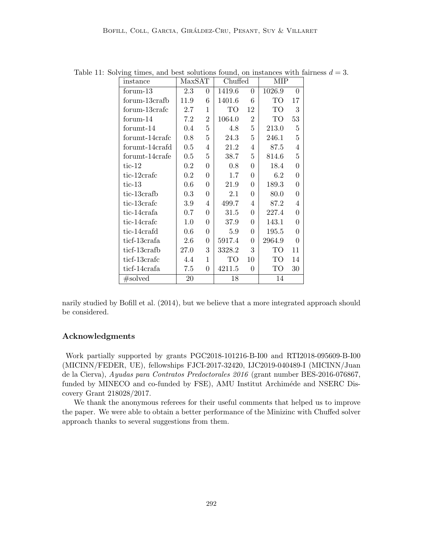<span id="page-29-0"></span>

| instance       | MaxSAT  |                | Chuffed |                 | MIP    |                  |
|----------------|---------|----------------|---------|-----------------|--------|------------------|
| formula        | 2.3     | 0              | 1419.6  | $\overline{0}$  | 1026.9 | $\Omega$         |
| forum-13crafb  | 11.9    | 6              | 1401.6  | 6               | TO     | 17               |
| forum-13crafc  | 2.7     | 1              | TO      | 12              | TO     | 3                |
| formula 14     | 7.2     | $\overline{2}$ | 1064.0  | $\overline{2}$  | TO     | 53               |
| forumt-14      | $0.4\,$ | $\overline{5}$ | 4.8     | $\overline{5}$  | 213.0  | 5                |
| forumt-14crafc | 0.8     | 5              | 24.3    | $5\overline{)}$ | 246.1  | 5                |
| forumt-14crafd | 0.5     | 4              | 21.2    | $\overline{4}$  | 87.5   | 4                |
| forumt-14crafe | 0.5     | 5              | 38.7    | $5\overline{)}$ | 814.6  | 5                |
| $tic-12$       | 0.2     | $\Omega$       | 0.8     | $\overline{0}$  | 18.4   | $\theta$         |
| tic-12crafe    | $0.2\,$ | $\theta$       | 1.7     | 0               | 6.2    | $\theta$         |
| $tic-13$       | 0.6     | $\overline{0}$ | 21.9    | $\overline{0}$  | 189.3  | $\Omega$         |
| tic-13crafb    | 0.3     | $\overline{0}$ | 2.1     | $\overline{0}$  | 80.0   | $\boldsymbol{0}$ |
| tic-13crafe    | 3.9     | 4              | 499.7   | 4               | 87.2   | 4                |
| tic-14crafa    | 0.7     | $\Omega$       | 31.5    | $\Omega$        | 227.4  | $\Omega$         |
| tic-14crafc    | 1.0     | $\overline{0}$ | 37.9    | $\overline{0}$  | 143.1  | $\boldsymbol{0}$ |
| tic-14crafd    | $0.6\,$ | $\overline{0}$ | 5.9     | $\overline{0}$  | 195.5  | $\overline{0}$   |
| ticf-13crafa   | 2.6     | $\overline{0}$ | 5917.4  | $\Omega$        | 2964.9 | $\Omega$         |
| ticf-13crafb   | 27.0    | 3              | 3328.2  | 3               | TO     | 11               |
| ticf-13crafc   | 4.4     | $\mathbf{1}$   | TO      | 10              | TO     | 14               |
| ticf-14crafa   | 7.5     | $\theta$       | 4211.5  | $\overline{0}$  | TO     | 30               |
| #solved        | 20      |                | 18      |                 | 14     |                  |

Table 11: Solving times, and best solutions found, on instances with fairness  $d = 3$ .

narily studied by Bofill et al. (2014), but we believe that a more integrated approach should be considered.

## Acknowledgments

Work partially supported by grants PGC2018-101216-B-I00 and RTI2018-095609-B-I00 (MICINN/FEDER, UE), fellowships FJCI-2017-32420, IJC2019-040489-I (MICINN/Juan de la Cierva), Ayudas para Contratos Predoctorales 2016 (grant number BES-2016-076867, funded by MINECO and co-funded by FSE), AMU Institut Archiméde and NSERC Discovery Grant 218028/2017.

We thank the anonymous referees for their useful comments that helped us to improve the paper. We were able to obtain a better performance of the Minizinc with Chuffed solver approach thanks to several suggestions from them.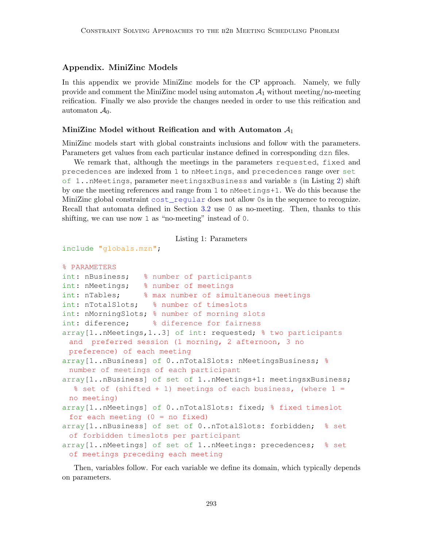## Appendix. MiniZinc Models

In this appendix we provide MiniZinc models for the CP approach. Namely, we fully provide and comment the MiniZinc model using automaton  $\mathcal{A}_1$  without meeting/no-meeting reification. Finally we also provide the changes needed in order to use this reification and automaton  $\mathcal{A}_0$ .

#### MiniZinc Model without Reification and with Automaton  $A_1$

MiniZinc models start with global constraints inclusions and follow with the parameters. Parameters get values from each particular instance defined in corresponding dzn files.

We remark that, although the meetings in the parameters requested, fixed and precedences are indexed from 1 to nMeetings, and precedences range over set of 1..nMeetings, parameter meetingsxBusiness and variable s (in Listing [2\)](#page-30-0) shift by one the meeting references and range from 1 to nMeetings+1. We do this because the MiniZinc global constraint cost\_regular does not allow 0s in the sequence to recognize. Recall that automata defined in Section [3.2](#page-6-1) use 0 as no-meeting. Then, thanks to this shifting, we can use now 1 as "no-meeting" instead of 0.

Listing 1: Parameters

```
include "globals.mzn";
```

```
% PARAMETERS
```

```
int: nBusiness; % number of participants
int: nMeetings; % number of meetings
int: nTables; % max number of simultaneous meetings
int: nTotalSlots; % number of timeslots
int: nMorningSlots; % number of morning slots
int: diference; % diference for fairness
array[1..nMeetings,1..3] of int: requested; % two participants
 and preferred session (1 morning, 2 afternoon, 3 no
 preference) of each meeting
array[1..nBusiness] of 0..nTotalSlots: nMeetingsBusiness; %
 number of meetings of each participant
array[1..nBusiness] of set of 1..nMeetings+1: meetingsxBusiness;
  % set of (shifted + 1) meetings of each business, (where 1 =no meeting)
array[1..nMeetings] of 0..nTotalSlots: fixed; % fixed timeslot
 for each meeting (0 = no fixed)array[1..nBusiness] of set of 0..nTotalSlots: forbidden; % set
 of forbidden timeslots per participant
array[1..nMeetings] of set of 1..nMeetings: precedences; % set
 of meetings preceding each meeting
```
<span id="page-30-0"></span>Then, variables follow. For each variable we define its domain, which typically depends on parameters.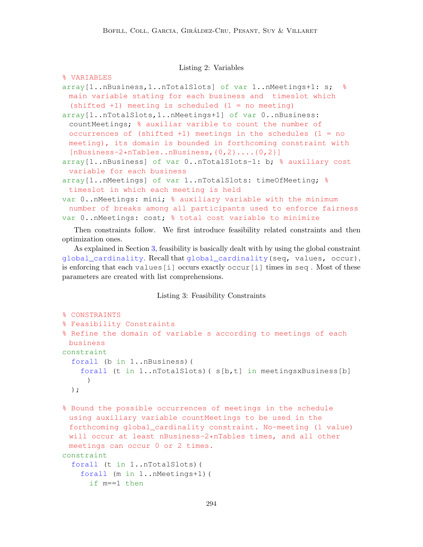Listing 2: Variables

```
% VARIABLES
array[1..nBusiness,1..nTotalSlots] of var 1..nMeetings+1: s; %
 main variable stating for each business and timeslot which
 (shifted +1) meeting is scheduled (1 = no meeting)
array[1..nTotalSlots,1..nMeetings+1] of var 0..nBusiness:
 countMeetings; % auxiliar varible to count the number of
 occurrences of (shifted +1) meetings in the schedules (1 = no
 meeting), its domain is bounded in forthcoming constraint with
 [nBusiness-2*nTables..nBusiness,{0,2}....{0,2}]
array[1..nBusiness] of var 0..nTotalSlots-1: b; % auxiliary cost
 variable for each business
array[1..nMeetings] of var 1..nTotalSlots: timeOfMeeting; %
 timeslot in which each meeting is held
var 0..nMeetings: mini; % auxiliary variable with the minimum
 number of breaks among all participants used to enforce fairness
var 0..nMeetings: cost; % total cost variable to minimize
```
Then constraints follow. We first introduce feasibility related constraints and then optimization ones.

As explained in Section [3,](#page-5-0) feasibility is basically dealt with by using the global constraint global\_cardinality. Recall that global\_cardinality(seq, values, occur), is enforcing that each values[i] occurs exactly occur[i] times in seq . Most of these parameters are created with list comprehensions.

Listing 3: Feasibility Constraints

```
% CONSTRAINTS
% Feasibility Constraints
% Refine the domain of variable s according to meetings of each
 business
constraint
  forall (b in 1..nBusiness)(
    forall (t in 1..nTotalSlots)( s[b,t] in meetingsxBusiness[b]
     )
  );
```
% Bound the possible occurrences of meetings in the schedule using auxiliary variable countMeetings to be used in the forthcoming global\_cardinality constraint. No-meeting (1 value) will occur at least nBusiness-2\*nTables times, and all other meetings can occur 0 or 2 times. constraint forall (t in 1..nTotalSlots)( forall (m in 1..nMeetings+1)( if m==1 then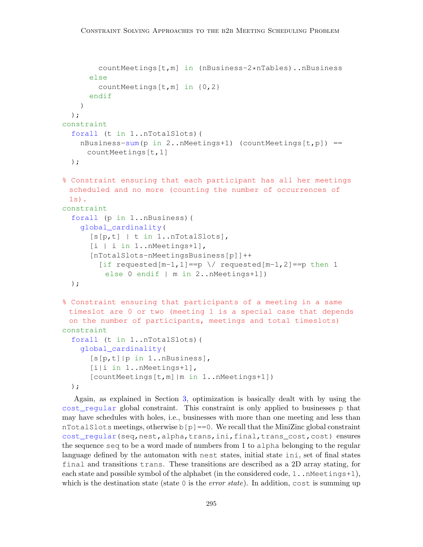```
countMeetings[t,m] in (nBusiness-2*nTables)..nBusiness
      else
        countMeetings[t,m] in {0,2}
      endif
    )
  );
constraint
  forall (t in 1..nTotalSlots)(
    nBusiness-sum(p in 2..nMeetings+1) (countMeetings[t, p]) ==
     countMeetings[t,1]
 );
% Constraint ensuring that each participant has all her meetings
 scheduled and no more (counting the number of occurrences of
 1s).
constraint
  forall (p in 1..nBusiness)(
    global_cardinality(
      [s[p,t] | t in 1..nTotalSlots],
      [i | i in 1..nMeetings+1],
      [nTotalSlots-nMeetingsBusiness[p]]++
        [if requested[m-1,1]==p \/ requested[m-1,2]==p then 1
         else 0 endif | m in 2..nMeetings+1])
 );
% Constraint ensuring that participants of a meeting in a same
 timeslot are 0 or two (meeting 1 is a special case that depends
 on the number of participants, meetings and total timeslots)
constraint
  forall (t in 1..nTotalSlots)(
    global_cardinality(
      [s[p,t]|p in 1..nBusiness],
      [i|i in 1..nMeetings+1],
      [countMeetings[t,m]|m in 1..nMeetings+1])
  );
```
Again, as explained in Section [3,](#page-5-0) optimization is basically dealt with by using the cost\_regular global constraint. This constraint is only applied to businesses p that may have schedules with holes, i.e., businesses with more than one meeting and less than nTotalSlots meetings, otherwise  $b[p] == 0$ . We recall that the MiniZinc global constraint cost\_regular(seq,nest,alpha,trans,ini,final,trans\_cost,cost) ensures the sequence seq to be a word made of numbers from 1 to alpha belonging to the regular language defined by the automaton with nest states, initial state ini, set of final states final and transitions trans. These transitions are described as a 2D array stating, for each state and possible symbol of the alphabet (in the considered code,  $1 \dots M$ eetings+1), which is the destination state (state 0 is the *error state*). In addition, cost is summing up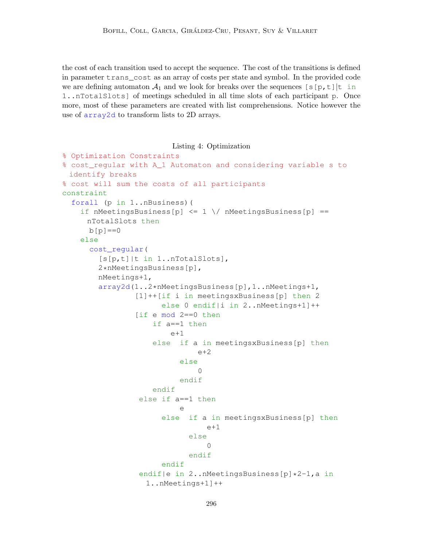the cost of each transition used to accept the sequence. The cost of the transitions is defined in parameter trans\_cost as an array of costs per state and symbol. In the provided code we are defining automaton  $\mathcal{A}_1$  and we look for breaks over the sequences [s[p,t]|t in 1..nTotalSlots] of meetings scheduled in all time slots of each participant p. Once more, most of these parameters are created with list comprehensions. Notice however the use of array2d to transform lists to 2D arrays.

<span id="page-33-0"></span>Listing 4: Optimization % Optimization Constraints % cost\_regular with A\_1 Automaton and considering variable s to identify breaks % cost will sum the costs of all participants constraint forall (p in 1..nBusiness)( if nMeetingsBusiness[p]  $\leq 1 \ \ \}$  nMeetingsBusiness[p] == nTotalSlots then  $b[p] == 0$ else cost\_regular( [s[p,t]|t in 1..nTotalSlots], 2\*nMeetingsBusiness[p], nMeetings+1, array2d(1..2\*nMeetingsBusiness[p],1..nMeetings+1, [1]++[if i in meetingsxBusiness[p] then 2 else 0 endif|i in 2..nMeetings+1]++ [if e mod 2==0 then if a==1 then  $e+1$ else if a in meetingsxBusiness[p] then  $e+2$ else  $\Omega$ endif endif else if a==1 then e else if a in meetingsxBusiness[p] then  $e+1$ else  $\cap$ endif endif endif|e in 2..nMeetingsBusiness[p]\*2-1,a in 1..nMeetings+1]++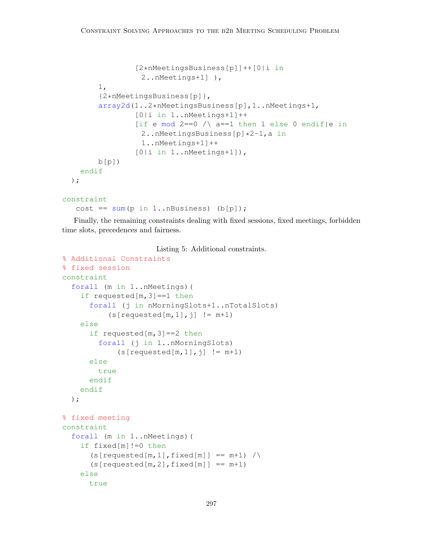```
[2*nMeetingsBusiness[p]]++[0|i in
                2..nMeetings+1] ),
      1,
      {2*nMeetingsBusiness[p]},
      array2d(1..2*nMeetingsBusiness[p],1..nMeetings+1,
              [0|i in 1..nMeetings+1]++
              [if e mod 2==0 \land a==1 then 1 else 0 endif|e in
                2..nMeetingsBusiness[p]*2-1,a in
                1..nMeetings+1]++
              [0|i in 1..nMeetings+1]),
      b[p]endif
);
```

```
constraint
```
cost ==  $sum(p in 1..nBussiness)$  (b[p]);

Finally, the remaining constraints dealing with fixed sessions, fixed meetings, forbidden time slots, precedences and fairness.

Listing 5: Additional constraints.

```
% Additional Constraints
% fixed session
constraint
  forall (m in 1..nMeetings)(
    if requested[m,3]==1 then
      forall (j in nMorningSlots+1..nTotalSlots)
          (s[requested[m,1],j] != m+1)else
      if requested[m,3]==2 then
        forall (j in 1..nMorningSlots)
            (s[requested[m,1],j] != m+1)else
        true
      endif
    endif
  );
% fixed meeting
constraint
  forall (m in 1..nMeetings)(
    if fixed[m]!=0 then
      (s[requested[m,1],fixed[m]] == m+1) /
      (s[requested[m,2],fixed[m]] == m+1)else
      true
```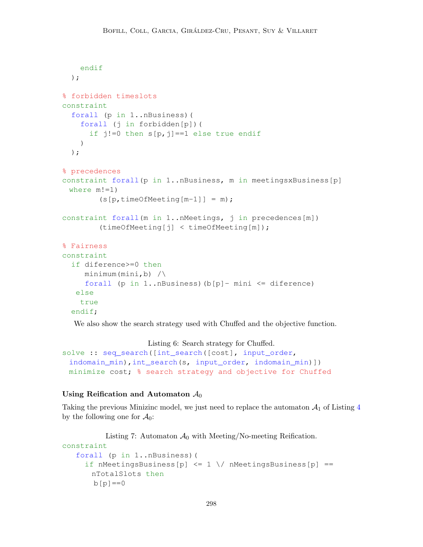```
endif
  );
% forbidden timeslots
constraint
  forall (p in 1..nBusiness)(
    forall (j in forbidden[p])(
      if j!=0 then s[p, j] == 1 else true endif
    )
 );
% precedences
constraint forall(p in 1..nBusiness, m in meetingsxBusiness[p]
 where m!=1)
        (s[p, timeOf Meeting[m-1]] = m);constraint forall(m in 1..nMeetings, j in precedences[m])
        (timeOfMeeting[j] < timeOfMeeting[m]);
% Fairness
constraint
  if diference>=0 then
     minimum(min, b) /\
     forall (p in 1..nBusiness)(b[p]- mini \leq diference)
   else
   true
  endif;
```
We also show the search strategy used with Chuffed and the objective function.

Listing 6: Search strategy for Chuffed.

```
solve :: seq_search([int_search([cost], input_order,
 indomain_min),int_search(s, input_order, indomain_min)])
 minimize cost; % search strategy and objective for Chuffed
```
#### Using Reification and Automaton  $A_0$

Taking the previous Minizinc model, we just need to replace the automaton  $\mathcal{A}_1$  of Listing [4](#page-33-0) by the following one for  $\mathcal{A}_0$ :

```
Listing 7: Automaton \mathcal{A}_0 with Meeting/No-meeting Reification.
constraint
    forall (p in 1..nBusiness)(
      if nMeetingsBusiness[p] \leq 1 \setminus \mathcal{M} nMeetingsBusiness[p] ==nTotalSlots then
        b[p] == 0
```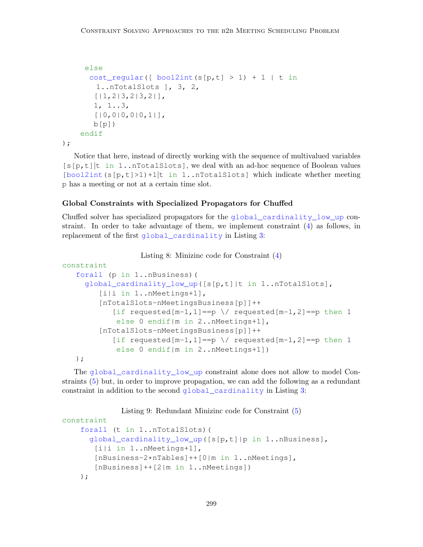```
else
      cost_regular([ bool2int(s[p,t] > 1) + 1 | t in
        1..nTotalSlots ], 3, 2,
        [|1,2|3,2|3,2|],
       1, 1..3,
       [ | 0, 0 | 0, 0 | 0, 1 | ]b[p]endif
);
```
Notice that here, instead of directly working with the sequence of multivalued variables  $[s(p, t)]$ t in 1..nTotalSlots], we deal with an ad-hoc sequence of Boolean values  $\left[\text{bool2int}(s[p,t]>1)+1\right]$ t in 1..nTotalSlots] which indicate whether meeting p has a meeting or not at a certain time slot.

## Global Constraints with Specialized Propagators for Chuffed

Chuffed solver has specialized propagators for the global\_cardinality\_low\_up constraint. In order to take advantage of them, we implement constraint [\(4\)](#page-5-1) as follows, in replacement of the first global\_cardinality in Listing [3:](#page-31-0)

```
Listing 8: Minizinc code for Constraint (4)
```

```
constraint
   forall (p in 1..nBusiness)(
     global_cardinality_low_up([s[p,t]|t in 1..nTotalSlots],
        [i|i in 1..nMeetings+1],
        [nTotalSlots-nMeetingsBusiness[p]]++
           [if requested[m-1,1]==p \/ requested[m-1,2]==p then 1
            else 0 endif|m in 2..nMeetings+1],
        [nTotalSlots-nMeetingsBusiness[p]]++
           [if requested[m-1,1]==p \/ requested[m-1,2]==p then 1
            else 0 endif|m in 2..nMeetings+1])
  );
```
The global\_cardinality\_low\_up constraint alone does not allow to model Constraints [\(5\)](#page-5-1) but, in order to improve propagation, we can add the following as a redundant constraint in addition to the second global\_cardinality in Listing [3:](#page-31-0)

```
Listing 9: Redundant Minizinc code for Constraint (5)
constraint
    forall (t in 1..nTotalSlots)(
      global_cardinality_low_up([s[p,t]|p in 1..nBusiness],
       [i|i in 1..nMeetings+1],
       [nBusiness-2*nTables]++[0|m in 1..nMeetings],
       [nBusiness]++[2|m in 1..nMeetings])
    );
```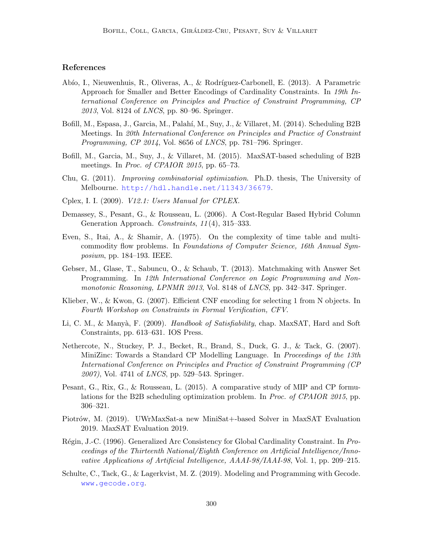## References

- Abío, I., Nieuwenhuis, R., Oliveras, A., & Rodríguez-Carbonell, E. (2013). A Parametric Approach for Smaller and Better Encodings of Cardinality Constraints. In 19th International Conference on Principles and Practice of Constraint Programming, CP 2013, Vol. 8124 of LNCS, pp. 80–96. Springer.
- Bofill, M., Espasa, J., Garcia, M., Palah´ı, M., Suy, J., & Villaret, M. (2014). Scheduling B2B Meetings. In 20th International Conference on Principles and Practice of Constraint Programming, CP 2014, Vol. 8656 of LNCS, pp. 781–796. Springer.
- Bofill, M., Garcia, M., Suy, J., & Villaret, M. (2015). MaxSAT-based scheduling of B2B meetings. In *Proc. of CPAIOR 2015*, pp. 65–73.
- Chu, G. (2011). Improving combinatorial optimization. Ph.D. thesis, The University of Melbourne. <http://hdl.handle.net/11343/36679>.
- Cplex, I. I. (2009). V12.1: Users Manual for CPLEX.
- Demassey, S., Pesant, G., & Rousseau, L. (2006). A Cost-Regular Based Hybrid Column Generation Approach. Constraints, 11 (4), 315–333.
- Even, S., Itai, A., & Shamir, A. (1975). On the complexity of time table and multicommodity flow problems. In Foundations of Computer Science, 16th Annual Symposium, pp. 184–193. IEEE.
- Gebser, M., Glase, T., Sabuncu, O., & Schaub, T. (2013). Matchmaking with Answer Set Programming. In 12th International Conference on Logic Programming and Nonmonotonic Reasoning, LPNMR 2013, Vol. 8148 of LNCS, pp. 342–347. Springer.
- Klieber, W., & Kwon, G. (2007). Efficient CNF encoding for selecting 1 from N objects. In Fourth Workshop on Constraints in Formal Verification, CFV.
- Li, C. M., & Manyà, F. (2009). *Handbook of Satisfiability*, chap. MaxSAT, Hard and Soft Constraints, pp. 613–631. IOS Press.
- Nethercote, N., Stuckey, P. J., Becket, R., Brand, S., Duck, G. J., & Tack, G. (2007). MiniZinc: Towards a Standard CP Modelling Language. In Proceedings of the 13th International Conference on Principles and Practice of Constraint Programming (CP 2007), Vol. 4741 of LNCS, pp. 529–543. Springer.
- Pesant, G., Rix, G., & Rousseau, L. (2015). A comparative study of MIP and CP formulations for the B2B scheduling optimization problem. In Proc. of CPAIOR 2015, pp. 306–321.
- Piotrów, M. (2019). UWrMaxSat-a new MiniSat+-based Solver in MaxSAT Evaluation 2019. MaxSAT Evaluation 2019.
- Régin, J.-C. (1996). Generalized Arc Consistency for Global Cardinality Constraint. In Proceedings of the Thirteenth National/Eighth Conference on Artificial Intelligence/Innovative Applications of Artificial Intelligence, AAAI-98/IAAI-98, Vol. 1, pp. 209–215.
- Schulte, C., Tack, G., & Lagerkvist, M. Z. (2019). Modeling and Programming with Gecode. <www.gecode.org>.